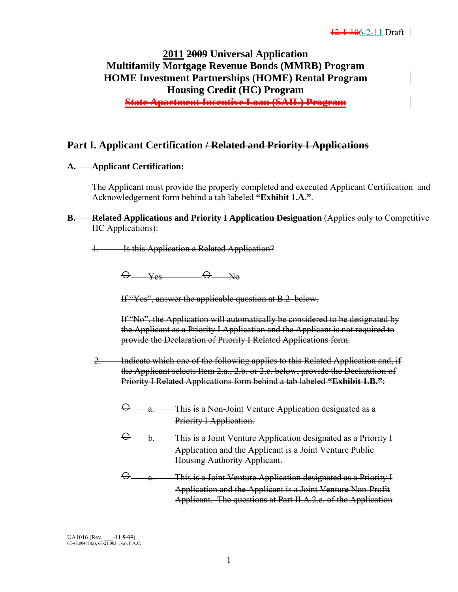# **2011 2009 Universal Application Multifamily Mortgage Revenue Bonds (MMRB) Program HOME Investment Partnerships (HOME) Rental Program Housing Credit (HC) Program State Apartment Incentive Loan (SAIL) Program**

# **Part I. Applicant Certification / Related and Priority I Applications**

#### **A. Applicant Certification:**

 The Applicant must provide the properly completed and executed Applicant Certification and Acknowledgement form behind a tab labeled **"Exhibit 1.A."**.

**B.** Related Applications and Priority I Application Designation (Applies only to Competitive HC Applications):

1. Is this Application a Related Application?

 $\Theta$  yes  $\Theta$  No

If "Yes", answer the applicable question at B.2. below.

If "No", the Application will automatically be considered to be designated by the Applicant as a Priority I Application and the Applicant is not required to provide the Declaration of Priority I Related Applications form.

2. Indicate which one of the following applies to this Related Application and, if the Applicant selects Item 2.a., 2.b. or 2.c. below, provide the Declaration of Priority I Related Applications form behind a tab labeled **"Exhibit 1.B."**:

- a. This is a Non-Joint Venture Application designated as a Priority I Application.
- b. This is a Joint Venture Application designated as a Priority I Application and the Applicant is a Joint Venture Public Housing Authority Applicant.

 ○ c. This is a Joint Venture Application designated as a Priority I Application and the Applicant is a Joint Venture Non-Profit Applicant. The questions at Part II.A.2.e. of the Application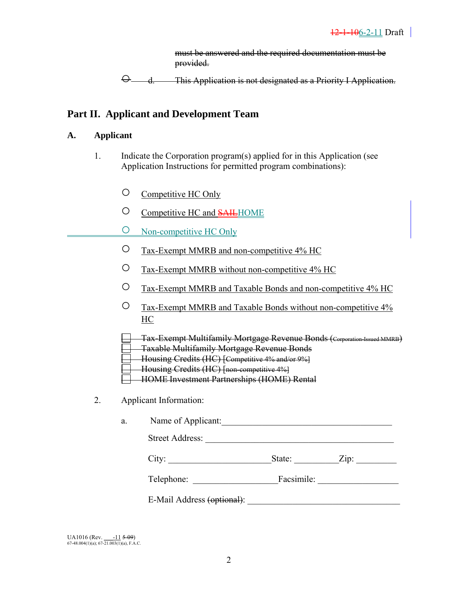must be answered and the required documentation must be provided.

○ d. This Application is not designated as a Priority I Application.

# **Part II. Applicant and Development Team**

### **A. Applicant**

- 1. Indicate the Corporation program(s) applied for in this Application (see Application Instructions for permitted program combinations):
	- Competitive HC Only
	- O Competitive HC and **SAIL**HOME
	- Non-competitive HC Only
	- Tax-Exempt MMRB and non-competitive 4% HC
	- Tax-Exempt MMRB without non-competitive 4% HC
	- Tax-Exempt MMRB and Taxable Bonds and non-competitive 4% HC
- Tax-Exempt MMRB and Taxable Bonds without non-competitive 4%  $\frac{HC}{d}$ 
	- Tax-Exempt Multifamily Mortgage Revenue Bonds (Corporation-Issued MMRB)
	- Taxable Multifamily Mortgage Revenue Bonds
	- Housing Credits (HC) [Competitive 4% and/or 9%]
	- Housing Credits (HC) [non-competitive 4%]
	- HOME Investment Partnerships (HOME) Rental
	- 2. Applicant Information:

 a. Name of Applicant:\_\_\_\_\_\_\_\_\_\_\_\_\_\_\_\_\_\_\_\_\_\_\_\_\_\_\_\_\_\_\_\_\_\_\_\_\_\_ Street Address: \_\_\_\_\_\_\_\_\_\_\_\_\_\_\_\_\_\_\_\_\_\_\_\_\_\_\_\_\_\_\_\_\_\_\_\_\_\_\_\_\_\_

|--|--|--|

| <b>TILL</b><br>relephone: | $\cdot$ $\cdot$<br>Facsimile: |  |
|---------------------------|-------------------------------|--|
|                           |                               |  |

E-Mail Address (optional):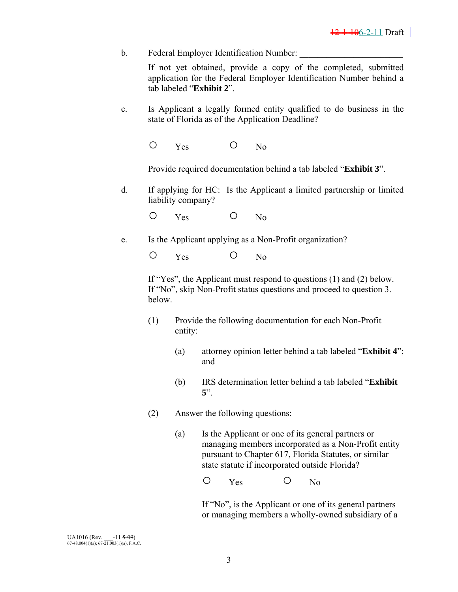b. Federal Employer Identification Number:

 If not yet obtained, provide a copy of the completed, submitted application for the Federal Employer Identification Number behind a tab labeled "**Exhibit 2**".

- c. Is Applicant a legally formed entity qualified to do business in the state of Florida as of the Application Deadline?
	- O Yes O No

Provide required documentation behind a tab labeled "**Exhibit 3**".

 d. If applying for HC: Is the Applicant a limited partnership or limited liability company?

O Yes O No

e. Is the Applicant applying as a Non-Profit organization?

O Yes O No

If "Yes", the Applicant must respond to questions (1) and (2) below. If "No", skip Non-Profit status questions and proceed to question 3. below.

- (1) Provide the following documentation for each Non-Profit entity:
	- (a) attorney opinion letter behind a tab labeled "**Exhibit 4**"; and
	- (b) IRS determination letter behind a tab labeled "**Exhibit 5**".
- (2) Answer the following questions:
	- (a)Is the Applicant or one of its general partners or managing members incorporated as a Non-Profit entity pursuant to Chapter 617, Florida Statutes, or similar state statute if incorporated outside Florida?

O Yes O No

 If "No", is the Applicant or one of its general partners or managing members a wholly-owned subsidiary of a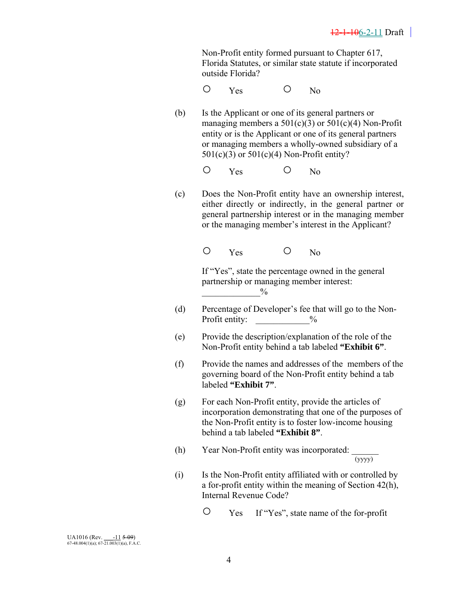Non-Profit entity formed pursuant to Chapter 617, Florida Statutes, or similar state statute if incorporated outside Florida?

- O Yes O No
	- (b) Is the Applicant or one of its general partners or managing members a  $501(c)(3)$  or  $501(c)(4)$  Non-Profit entity or is the Applicant or one of its general partners or managing members a wholly-owned subsidiary of a 501(c)(3) or 501(c)(4) Non-Profit entity?
- O Yes O No
	- (c) Does the Non-Profit entity have an ownership interest, either directly or indirectly, in the general partner or general partnership interest or in the managing member or the managing member's interest in the Applicant?

O Yes O No

 If "Yes", state the percentage owned in the general partnership or managing member interest:  $^{0}\!/_{0}$ 

- (d) Percentage of Developer's fee that will go to the Non-Profit entity:  $\frac{9}{6}$
- (e) Provide the description/explanation of the role of the Non-Profit entity behind a tab labeled **"Exhibit 6"**.
- (f) Provide the names and addresses of the members of the governing board of the Non-Profit entity behind a tab labeled **"Exhibit 7"**.
- (g) For each Non-Profit entity, provide the articles of incorporation demonstrating that one of the purposes of the Non-Profit entity is to foster low-income housing behind a tab labeled **"Exhibit 8"**.
- (h) Year Non-Profit entity was incorporated:  $\frac{1}{(y y y y)}$
- (i) Is the Non-Profit entity affiliated with or controlled by a for-profit entity within the meaning of Section 42(h), Internal Revenue Code?
	- Yes If "Yes", state name of the for-profit

UA1016 (Rev.  $\frac{-11}{2}$  5-09)<br>67-48.004(1)(a); 67-21.003(1)(a), F.A.C.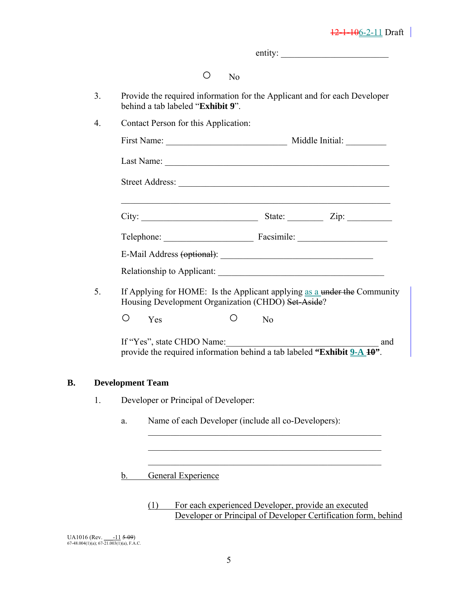|    |                                                                                                                                |                | $\text{entity:}\n\quad \text{matrix}$ |
|----|--------------------------------------------------------------------------------------------------------------------------------|----------------|---------------------------------------|
|    | $\circ$<br>No                                                                                                                  |                |                                       |
| 3. | Provide the required information for the Applicant and for each Developer<br>behind a tab labeled "Exhibit 9".                 |                |                                       |
| 4. | Contact Person for this Application:                                                                                           |                |                                       |
|    |                                                                                                                                |                |                                       |
|    |                                                                                                                                |                |                                       |
|    |                                                                                                                                |                |                                       |
|    |                                                                                                                                |                |                                       |
|    | Telephone: Facsimile: Facsimile:                                                                                               |                |                                       |
|    |                                                                                                                                |                |                                       |
|    |                                                                                                                                |                |                                       |
| 5. | If Applying for HOME: Is the Applicant applying as a under the Community<br>Housing Development Organization (CHDO) Set-Aside? |                |                                       |
|    | O<br>O<br>Yes                                                                                                                  | N <sub>o</sub> |                                       |
|    | If "Yes", state CHDO Name:<br>provide the required information behind a tab labeled "Exhibit 9-A 10".                          |                |                                       |
|    | <b>Development Team</b>                                                                                                        |                |                                       |
| 1. | Developer or Principal of Developer:                                                                                           |                |                                       |
|    | Name of each Developer (include all co-Developers):<br>a.                                                                      |                |                                       |
|    |                                                                                                                                |                |                                       |
|    | General Experience<br>b.                                                                                                       |                |                                       |
|    |                                                                                                                                |                |                                       |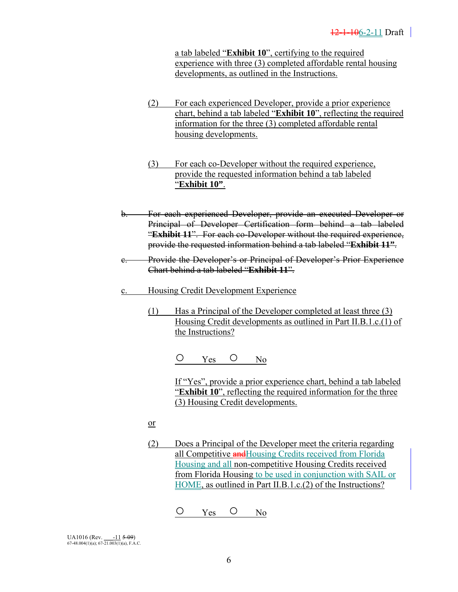a tab labeled "**Exhibit 10**", certifying to the required experience with three (3) completed affordable rental housing developments, as outlined in the Instructions.

- (2) For each experienced Developer, provide a prior experience chart, behind a tab labeled "**Exhibit 10**", reflecting the required information for the three (3) completed affordable rental housing developments.
- (3) For each co-Developer without the required experience, provide the requested information behind a tab labeled "**Exhibit 10"**.
- b. For each experienced Developer, provide an executed Developer or Principal of Developer Certification form behind a tab labeled "**Exhibit 11**". For each co-Developer without the required experience, provide the requested information behind a tab labeled "**Exhibit 11"**.
- c. Provide the Developer's or Principal of Developer's Prior Experience Chart behind a tab labeled "**Exhibit 11**".
- c. Housing Credit Development Experience
	- (1) Has a Principal of the Developer completed at least three (3) Housing Credit developments as outlined in Part II.B.1.c.(1) of the Instructions?

O Yes O No

If "Yes", provide a prior experience chart, behind a tab labeled "**Exhibit 10**", reflecting the required information for the three (3) Housing Credit developments.

- or and the state of the state of the state of the state of the state of the state of the state of the state of the state of the state of the state of the state of the state of the state of the state of the state of the sta
	- (2) Does a Principal of the Developer meet the criteria regarding all Competitive **and**Housing Credits received from Florida Housing and all non-competitive Housing Credits received from Florida Housing to be used in conjunction with SAIL or HOME, as outlined in Part II.B.1.c.(2) of the Instructions?

O Yes O No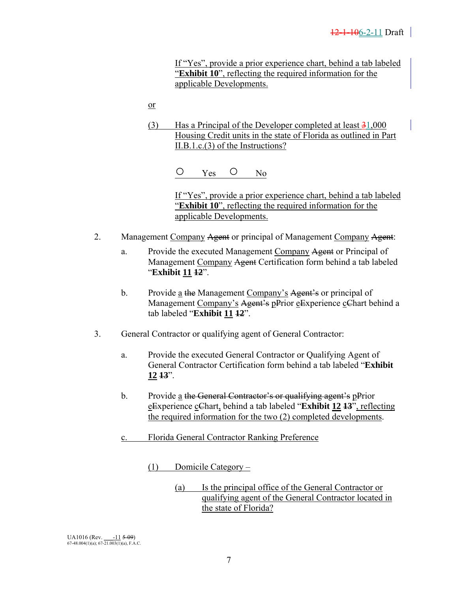If "Yes", provide a prior experience chart, behind a tab labeled "**Exhibit 10**", reflecting the required information for the applicable Developments.

<u>or</u>

(3) Has a Principal of the Developer completed at least  $\frac{31,000}{2}$ Housing Credit units in the state of Florida as outlined in Part II.B.1.c.(3) of the Instructions?

○ Yes ○ No

If "Yes", provide a prior experience chart, behind a tab labeled "**Exhibit 10**", reflecting the required information for the applicable Developments.

- 2. Management Company Agent or principal of Management Company Agent:
	- a. Provide the executed Management Company Agent or Principal of Management Company Agent Certification form behind a tab labeled "**Exhibit 11 12**".
	- b. Provide a the Management Company's Agent's or principal of Management Company's Agent's pPrior eExperience cChart behind a tab labeled "**Exhibit 11 12**".
- 3. General Contractor or qualifying agent of General Contractor:
	- a. Provide the executed General Contractor or Qualifying Agent of General Contractor Certification form behind a tab labeled "**Exhibit 12 13**".
	- b. Provide a the General Contractor's or qualifying agent's pPrior eExperience cChart, behind a tab labeled "**Exhibit 12 13**", reflecting the required information for the two (2) completed developments.
	- c. Florida General Contractor Ranking Preference

(1) Domicile Category –

 (a) Is the principal office of the General Contractor or qualifying agent of the General Contractor located in the state of Florida?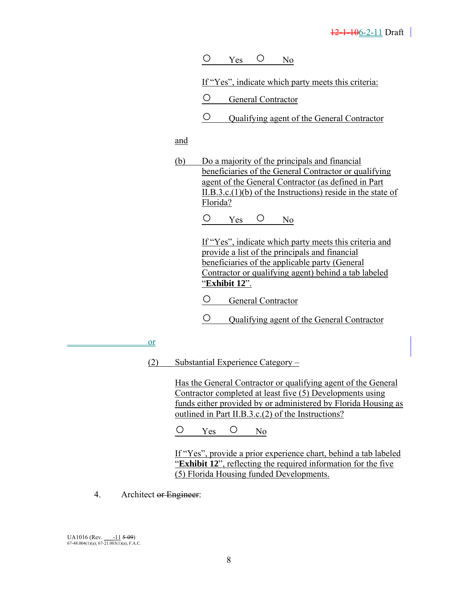O Yes O No

If "Yes", indicate which party meets this criteria:

○ General Contractor

○ Qualifying agent of the General Contractor

and

 (b) Do a majority of the principals and financial beneficiaries of the General Contractor or qualifying agent of the General Contractor (as defined in Part II.B.3.c.(1)(b) of the Instructions) reside in the state of Florida?

O Yes O No

 If "Yes", indicate which party meets this criteria and provide a list of the principals and financial beneficiaries of the applicable party (General Contractor or qualifying agent) behind a tab labeled "**Exhibit 12**".

- General Contractor
- Qualifying agent of the General Contractor

<u>or</u>

(2) Substantial Experience Category –

Has the General Contractor or qualifying agent of the General Contractor completed at least five (5) Developments using funds either provided by or administered by Florida Housing as outlined in Part II.B.3.c.(2) of the Instructions?

O Yes O No

 If "Yes", provide a prior experience chart, behind a tab labeled "**Exhibit 12**", reflecting the required information for the five (5) Florida Housing funded Developments.

4. Architect or Engineer: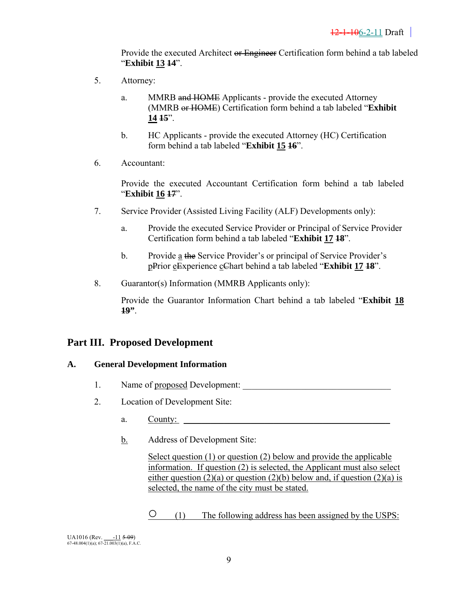Provide the executed Architect or Engineer Certification form behind a tab labeled "**Exhibit 13 14**".

- 5. Attorney:
	- a. MMRB and HOME Applicants provide the executed Attorney (MMRB or HOME) Certification form behind a tab labeled "**Exhibit 14 15**".
	- b. HC Applicants provide the executed Attorney (HC) Certification form behind a tab labeled "**Exhibit 15 16**".
- 6. Accountant:

Provide the executed Accountant Certification form behind a tab labeled "**Exhibit 16 17**".

- 7. Service Provider (Assisted Living Facility (ALF) Developments only):
	- a. Provide the executed Service Provider or Principal of Service Provider Certification form behind a tab labeled "**Exhibit 17 18**".
	- b. Provide a the Service Provider's or principal of Service Provider's pPrior eExperience cChart behind a tab labeled "**Exhibit 17 18**".
- 8. Guarantor(s) Information (MMRB Applicants only):

Provide the Guarantor Information Chart behind a tab labeled "**Exhibit 18 19"**.

# **Part III. Proposed Development**

### **A. General Development Information**

- 1. Name of proposed Development:
- 2. Location of Development Site:
	- a. County:
	- b. Address of Development Site:

 Select question (1) or question (2) below and provide the applicable information. If question (2) is selected, the Applicant must also select either question  $(2)(a)$  or question  $(2)(b)$  below and, if question  $(2)(a)$  is selected, the name of the city must be stated.

○ (1) The following address has been assigned by the USPS:

UA1016 (Rev.  $\frac{-11}{2}$  5-09)<br>67-48.004(1)(a); 67-21.003(1)(a), F.A.C.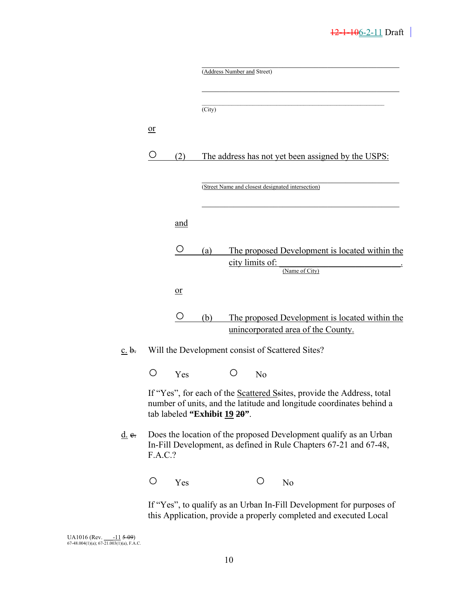# $12-1-106-2-11$  Draft

|                      |         |                              |                            | (Address Number and Street) |                 |                                                                                                                                                |
|----------------------|---------|------------------------------|----------------------------|-----------------------------|-----------------|------------------------------------------------------------------------------------------------------------------------------------------------|
|                      |         |                              | $\overline{\text{(City)}}$ |                             |                 |                                                                                                                                                |
|                      | 0r      |                              |                            |                             |                 |                                                                                                                                                |
|                      | U       | (2)                          |                            |                             |                 | The address has not yet been assigned by the USPS:                                                                                             |
|                      |         |                              |                            |                             |                 | (Street Name and closest designated intersection)                                                                                              |
|                      |         | and                          |                            |                             |                 |                                                                                                                                                |
|                      |         | O                            | (a)                        |                             | city limits of: | The proposed Development is located within the<br>(Name of City)                                                                               |
|                      |         | 0r                           |                            |                             |                 |                                                                                                                                                |
|                      |         | O                            | (b)                        |                             |                 | The proposed Development is located within the                                                                                                 |
|                      |         |                              |                            |                             |                 | unincorporated area of the County.                                                                                                             |
| c. b.                |         |                              |                            |                             |                 | Will the Development consist of Scattered Sites?                                                                                               |
|                      | O       | Yes                          |                            | $\circ$                     | No              |                                                                                                                                                |
|                      |         | tab labeled "Exhibit 19 20". |                            |                             |                 | If "Yes", for each of the Scattered Ssites, provide the Address, total<br>number of units, and the latitude and longitude coordinates behind a |
| $\underline{d}$ . e. | F.A.C.? |                              |                            |                             |                 | Does the location of the proposed Development qualify as an Urban<br>In-Fill Development, as defined in Rule Chapters 67-21 and 67-48,         |
|                      | O       | Yes                          |                            |                             | O               | N <sub>0</sub>                                                                                                                                 |

 If "Yes", to qualify as an Urban In-Fill Development for purposes of this Application, provide a properly completed and executed Local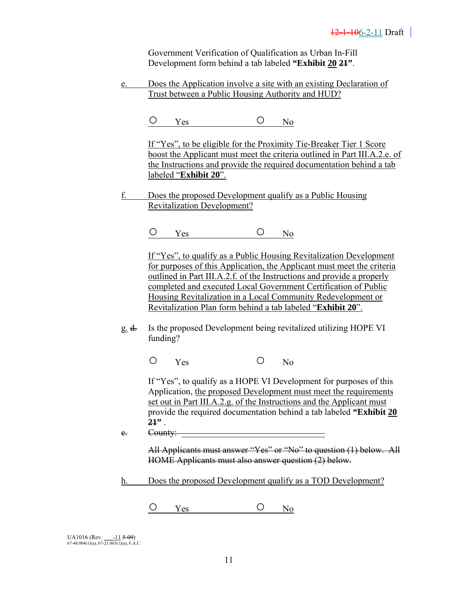Government Verification of Qualification as Urban In-Fill Development form behind a tab labeled **"Exhibit 20 21"**.

 e. Does the Application involve a site with an existing Declaration of Trust between a Public Housing Authority and HUD?

O Yes O No

 If "Yes", to be eligible for the Proximity Tie-Breaker Tier 1 Score boost the Applicant must meet the criteria outlined in Part III.A.2.e. of the Instructions and provide the required documentation behind a tab labeled "**Exhibit 20**".

 f. Does the proposed Development qualify as a Public Housing Revitalization Development?

O Yes O No

 If "Yes", to qualify as a Public Housing Revitalization Development for purposes of this Application, the Applicant must meet the criteria outlined in Part III.A.2.f. of the Instructions and provide a properly completed and executed Local Government Certification of Public Housing Revitalization in a Local Community Redevelopment or Revitalization Plan form behind a tab labeled "**Exhibit 20**".

 g. d. Is the proposed Development being revitalized utilizing HOPE VI funding?

O Yes O No

 If "Yes", to qualify as a HOPE VI Development for purposes of this Application, the proposed Development must meet the requirements set out in Part III.A.2.g. of the Instructions and the Applicant must provide the required documentation behind a tab labeled **"Exhibit 20 21"** .

 $e.$  County:

All Applicants must answer "Yes" or "No" to question (1) below. All HOME Applicants must also answer question (2) below.

h. Does the proposed Development qualify as a TOD Development?

O Yes O No

| <b>UA1016</b> (Rev.                            | $-11509$ |
|------------------------------------------------|----------|
| $67-48.004(1)(a)$ ; $67-21.003(1)(a)$ , F.A.C. |          |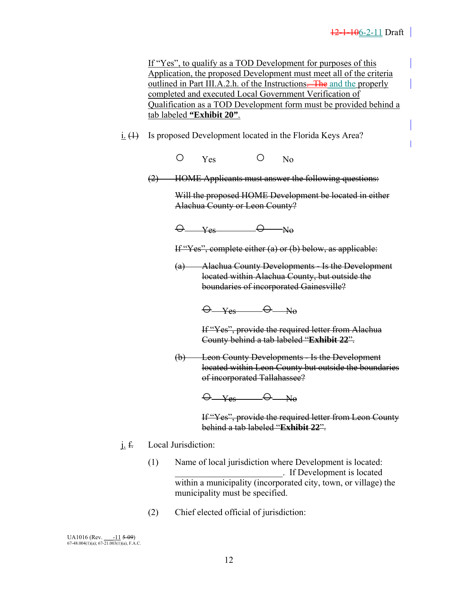| If "Yes", to qualify as a TOD Development for purposes of this       |
|----------------------------------------------------------------------|
| Application, the proposed Development must meet all of the criteria  |
| outlined in Part III.A.2.h. of the Instructions—The and the properly |
| completed and executed Local Government Verification of              |
| Qualification as a TOD Development form must be provided behind a    |
| tab labeled "Exhibit 20".                                            |

- $i. (1)$  Is proposed Development located in the Florida Keys Area?
	- O Yes O No
	- (2) HOME Applicants must answer the following questions:

Will the proposed HOME Development be located in either Alachua County or Leon County?

 $\Theta$  yes  $\Theta$  No

If "Yes", complete either (a) or (b) below, as applicable:

 (a) Alachua County Developments - Is the Development located within Alachua County, but outside the boundaries of incorporated Gainesville?

 $\Theta$  Yes  $\Theta$  No

 If "Yes", provide the required letter from Alachua County behind a tab labeled "**Exhibit 22**".

 (b) Leon County Developments - Is the Development located within Leon County but outside the boundaries of incorporated Tallahassee?

 $\Theta$  Yes  $\Theta$  No

 If "Yes", provide the required letter from Leon County behind a tab labeled "**Exhibit 22**".

- j. f. Local Jurisdiction:
	- (1) Name of local jurisdiction where Development is located: \_\_\_\_\_\_\_\_\_\_\_\_\_\_\_\_\_\_\_\_\_\_\_\_. If Development is located within a municipality (incorporated city, town, or village) the municipality must be specified.
	- (2) Chief elected official of jurisdiction: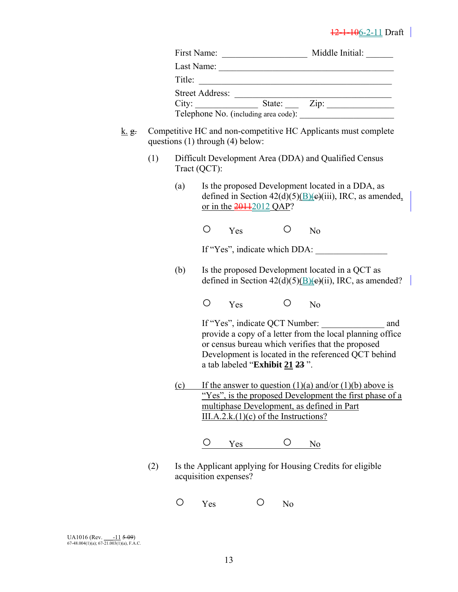# $\frac{12-1-106-2-11}{2}$  Draft |

|          |     |     |                                                                                       |                | Title:                                                                                                                                                                                                                                                  |  |
|----------|-----|-----|---------------------------------------------------------------------------------------|----------------|---------------------------------------------------------------------------------------------------------------------------------------------------------------------------------------------------------------------------------------------------------|--|
|          |     |     |                                                                                       |                | Street Address: <u>City:</u> State: <u>City:</u> State: <u>City:</u> City: <u>City:</u> State: City: <u>City:</u> City: City: City: City: City: City: City: City: City: City: City: City: City: City: City: City: City: City: City: City: City: City: C |  |
| $k$ . g. |     |     | questions $(1)$ through $(4)$ below:                                                  |                | Competitive HC and non-competitive HC Applicants must complete                                                                                                                                                                                          |  |
|          | (1) |     | Tract (QCT):                                                                          |                | Difficult Development Area (DDA) and Qualified Census                                                                                                                                                                                                   |  |
|          |     | (a) | or in the $\frac{20112012}{2012}$                                                     |                | Is the proposed Development located in a DDA, as<br>defined in Section $42(d)(5)(B)(e)(iii)$ , IRC, as amended,                                                                                                                                         |  |
|          |     |     | O<br>Yes                                                                              | Ő              | N <sub>o</sub>                                                                                                                                                                                                                                          |  |
|          |     |     |                                                                                       |                | If "Yes", indicate which DDA:                                                                                                                                                                                                                           |  |
|          |     | (b) |                                                                                       |                | Is the proposed Development located in a QCT as<br>defined in Section $42(d)(5)(\underline{B})(e)(ii)$ , IRC, as amended?                                                                                                                               |  |
|          |     |     | O<br>Yes                                                                              | Ő              | N <sub>o</sub>                                                                                                                                                                                                                                          |  |
|          |     |     | a tab labeled "Exhibit 21 23".                                                        |                | If "Yes", indicate QCT Number:<br>and<br>provide a copy of a letter from the local planning office<br>or census bureau which verifies that the proposed<br>Development is located in the referenced QCT behind                                          |  |
|          |     | (c) | multiphase Development, as defined in Part<br>$III.A.2.k.(1)(c)$ of the Instructions? |                | If the answer to question $(1)(a)$ and/or $(1)(b)$ above is<br>"Yes", is the proposed Development the first phase of a                                                                                                                                  |  |
|          |     |     | Yes                                                                                   |                | N <sub>0</sub>                                                                                                                                                                                                                                          |  |
|          | (2) |     | acquisition expenses?                                                                 |                | Is the Applicant applying for Housing Credits for eligible                                                                                                                                                                                              |  |
|          |     | O   | O<br>Yes                                                                              | N <sub>o</sub> |                                                                                                                                                                                                                                                         |  |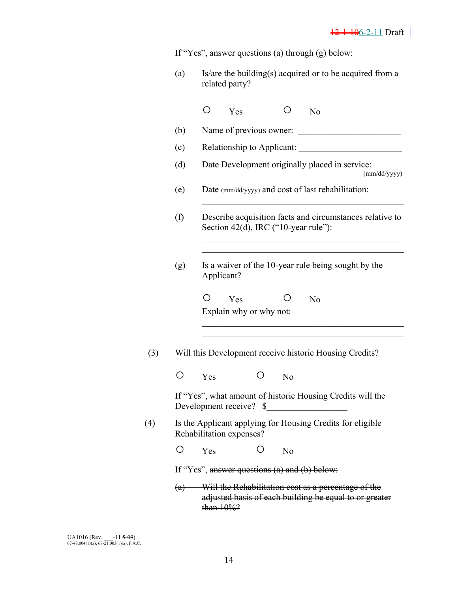If "Yes", answer questions (a) through (g) below:

(a) Is/are the building(s) acquired or to be acquired from a related party?

|     |     | ◯   | Yes                                  |   | О              | N <sub>o</sub>                                                                                                |
|-----|-----|-----|--------------------------------------|---|----------------|---------------------------------------------------------------------------------------------------------------|
|     | (b) |     |                                      |   |                | Name of previous owner:                                                                                       |
|     | (c) |     |                                      |   |                |                                                                                                               |
|     | (d) |     |                                      |   |                | Date Development originally placed in service:<br>(mm/dd/yyyy)                                                |
|     | (e) |     |                                      |   |                | Date (mm/dd/yyyy) and cost of last rehabilitation:                                                            |
|     | (f) |     | Section 42(d), IRC ("10-year rule"): |   |                | Describe acquisition facts and circumstances relative to                                                      |
|     | (g) |     | Applicant?                           |   |                | Is a waiver of the 10-year rule being sought by the                                                           |
|     |     | O   | Yes<br>Explain why or why not:       |   | Ő              | N <sub>o</sub>                                                                                                |
| (3) |     |     |                                      |   |                | Will this Development receive historic Housing Credits?                                                       |
|     | О   | Yes |                                      | O | N <sub>o</sub> |                                                                                                               |
|     |     |     | Development receive? \$              |   |                | If "Yes", what amount of historic Housing Credits will the                                                    |
| (4) |     |     | Rehabilitation expenses?             |   |                | Is the Applicant applying for Housing Credits for eligible                                                    |
|     |     | Yes |                                      |   | N <sub>o</sub> |                                                                                                               |
|     |     |     |                                      |   |                | If "Yes", answer questions (a) and (b) below:                                                                 |
|     | (a) |     | than 10%?                            |   |                | Will the Rehabilitation cost as a percentage of the<br>adjusted basis of each building be equal to or greater |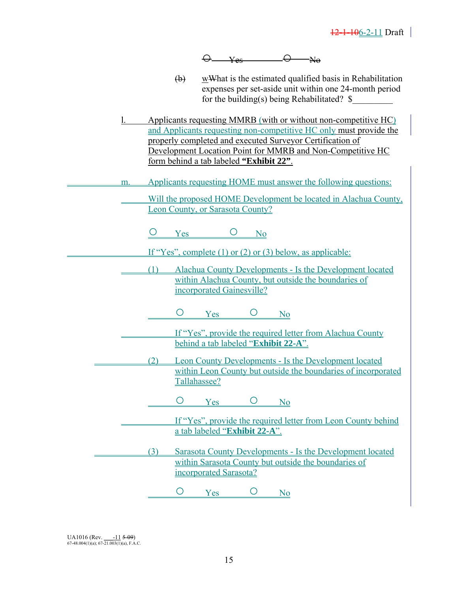

- (b) wWhat is the estimated qualified basis in Rehabilitation expenses per set-aside unit within one 24-month period for the building(s) being Rehabilitated?  $\$
- l. Applicants requesting MMRB (with or without non-competitive HC) and Applicants requesting non-competitive HC only must provide the properly completed and executed Surveyor Certification of Development Location Point for MMRB and Non-Competitive HC form behind a tab labeled **"Exhibit 22"**.
- m. Applicants requesting HOME must answer the following questions:
	- Will the proposed HOME Development be located in Alachua County, Leon County, or Sarasota County?
		- $O$  Yes  $O$  No
		- If "Yes", complete (1) or (2) or (3) below, as applicable:
- (1) Alachua County Developments Is the Development located within Alachua County, but outside the boundaries of incorporated Gainesville?
	- O Yes O No
- If "Yes", provide the required letter from Alachua County behind a tab labeled "**Exhibit 22-A**".
	- (2) Leon County Developments Is the Development located within Leon County but outside the boundaries of incorporated Tallahassee?
		- $O$  Yes  $O$  No
		- If "Yes", provide the required letter from Leon County behind a tab labeled "**Exhibit 22-A**".
- (3) Sarasota County Developments Is the Development located within Sarasota County but outside the boundaries of incorporated Sarasota?

 $O$  Yes  $O$  No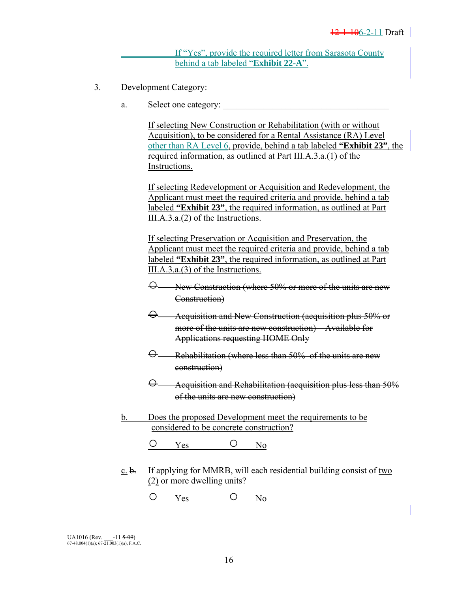If "Yes", provide the required letter from Sarasota County behind a tab labeled "**Exhibit 22-A**".

- 3. Development Category:
	- a. Select one category:

 If selecting New Construction or Rehabilitation (with or without Acquisition), to be considered for a Rental Assistance (RA) Level other than RA Level 6, provide, behind a tab labeled **"Exhibit 23"**, the required information, as outlined at Part III.A.3.a.(1) of the Instructions.

 If selecting Redevelopment or Acquisition and Redevelopment, the Applicant must meet the required criteria and provide, behind a tab labeled **"Exhibit 23"**, the required information, as outlined at Part III.A.3.a.(2) of the Instructions.

 If selecting Preservation or Acquisition and Preservation, the Applicant must meet the required criteria and provide, behind a tab labeled **"Exhibit 23"**, the required information, as outlined at Part III.A.3.a.(3) of the Instructions.

- New Construction (where 50% or more of the units are new Construction)
- $\Theta$  Acquisition and New Construction (acquisition plus 50% or more of the units are new construction) – Available for Applications requesting HOME Only
- $\Theta$  Rehabilitation (where less than 50% of the units are new construction)
- $\Theta$  Acquisition and Rehabilitation (acquisition plus less than 50% of the units are new construction)
- b. Does the proposed Development meet the requirements to be considered to be concrete construction?

O Yes O No

- $c. b.$  If applying for MMRB, will each residential building consist of two (2) or more dwelling units?
	- O Yes O No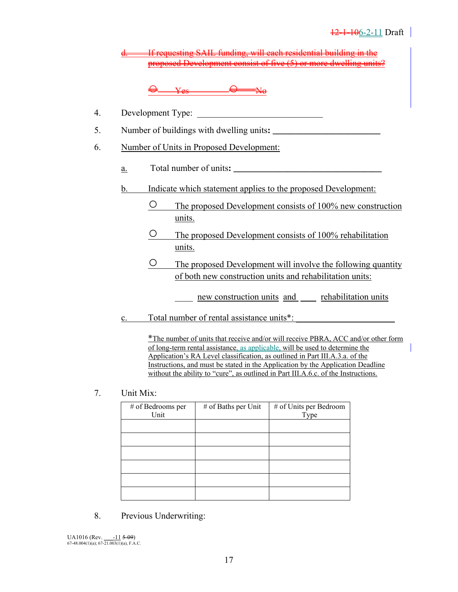requesting SAIL funding, will each residential building in the proposed Development consist of five (5) or more dwelling units

 $V_{\infty}$   $\ominus$ 

- 4. Development Type: \_\_\_\_\_\_\_\_\_\_\_\_\_\_\_\_\_\_\_\_\_\_\_\_\_\_\_\_
- 5. Number of buildings with dwelling units**: \_\_\_\_\_\_\_\_\_\_\_\_\_\_\_\_\_\_\_\_\_\_\_\_**
- 6. Number of Units in Proposed Development:
	- a. Total number of units**: \_\_\_\_\_\_\_\_\_\_\_\_\_\_\_\_\_\_\_\_\_\_\_\_\_\_\_\_\_\_\_\_\_**
	- b. Indicate which statement applies to the proposed Development:
		- The proposed Development consists of 100% new construction units.
		- The proposed Development consists of 100% rehabilitation units.
		- The proposed Development will involve the following quantity of both new construction units and rehabilitation units:
			- new construction units and rehabilitation units
	- c. Total number of rental assistance units<sup>\*</sup>:

 \*The number of units that receive and/or will receive PBRA, ACC and/or other form of long-term rental assistance, as applicable, will be used to determine the Application's RA Level classification, as outlined in Part III.A.3.a. of the Instructions, and must be stated in the Application by the Application Deadline without the ability to "cure", as outlined in Part III.A.6.c. of the Instructions.

7. Unit Mix:

| # of Bedrooms per<br>Unit | # of Baths per Unit | # of Units per Bedroom<br>Type |
|---------------------------|---------------------|--------------------------------|
|                           |                     |                                |
|                           |                     |                                |
|                           |                     |                                |
|                           |                     |                                |
|                           |                     |                                |
|                           |                     |                                |

8. Previous Underwriting: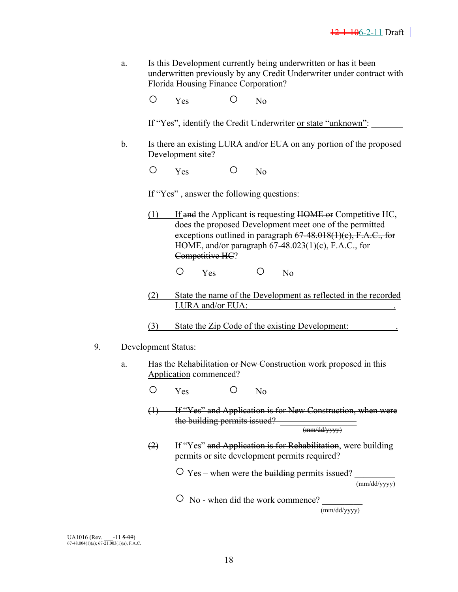a. Is this Development currently being underwritten or has it been underwritten previously by any Credit Underwriter under contract with Florida Housing Finance Corporation?

O Yes O No

If "Yes", identify the Credit Underwriter or state "unknown":

 b. Is there an existing LURA and/or EUA on any portion of the proposed Development site?

O Yes O No

If "Yes" , answer the following questions:

 $(1)$  If and the Applicant is requesting HOME or Competitive HC, does the proposed Development meet one of the permitted exceptions outlined in paragraph  $67-48.018(1)(c)$ , F.A.C., for HOME, and/or paragraph  $67-48.023(1)(c)$ , F.A.C., for Competitive HC?

O Yes O No

 (2) State the name of the Development as reflected in the recorded LURA and/or EUA:

(3) State the Zip Code of the existing Development:

- 9. Development Status:
	- a. Has the Rehabilitation or New Construction work proposed in this Application commenced?
		- O Yes O No
		- (1) If "Yes" and Application is for New Construction, when were the building permits issued?  $\frac{1}{\frac{(\text{mm}/dd/vvvv)}{\frac{1}{\text{mm}}}}$
		- (2) If "Yes" and Application is for Rehabilitation, were building permits or site development permits required?

 $\overline{O}$  Yes – when were the building permits issued?

(mm/dd/yyyy)

 $\overline{O}$  No - when did the work commence?

(mm/dd/yyyy)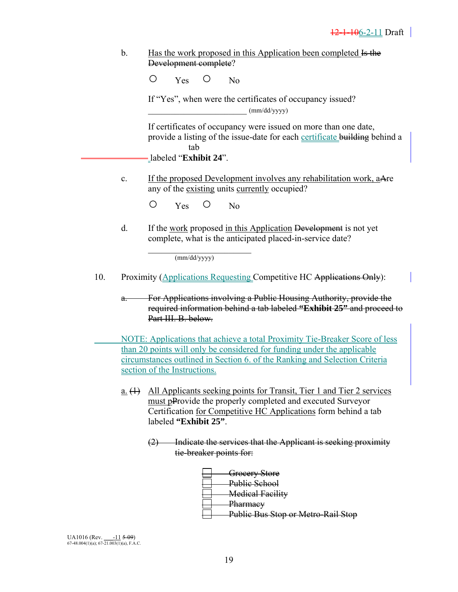b. Has the work proposed in this Application been completed Is the Development complete?

O Yes O No

 If "Yes", when were the certificates of occupancy issued?  $(mm/dd/yyyy)$ 

 If certificates of occupancy were issued on more than one date, provide a listing of the issue-date for each certificate building behind a tab

labeled "**Exhibit 24**".

c. If the proposed Development involves any rehabilitation work, aAre any of the existing units currently occupied?

O Yes O No

 d. If the work proposed in this Application Development is not yet complete, what is the anticipated placed-in-service date?

 $(mm/dd/yyyy)$ 

- 10. Proximity (Applications Requesting Competitive HC Applications Only):
	- For Applications involving a Public Housing Authority, provide the required information behind a tab labeled **"Exhibit 25"** and proceed to Part III. B. below-

 NOTE: Applications that achieve a total Proximity Tie-Breaker Score of less than 20 points will only be considered for funding under the applicable circumstances outlined in Section 6. of the Ranking and Selection Criteria section of the Instructions.

- a. (1) All Applicants seeking points for Transit, Tier 1 and Tier 2 services must pProvide the properly completed and executed Surveyor Certification for Competitive HC Applications form behind a tab labeled **"Exhibit 25"**.
	- (2) Indicate the services that the Applicant is seeking proximity tie-breaker points for:

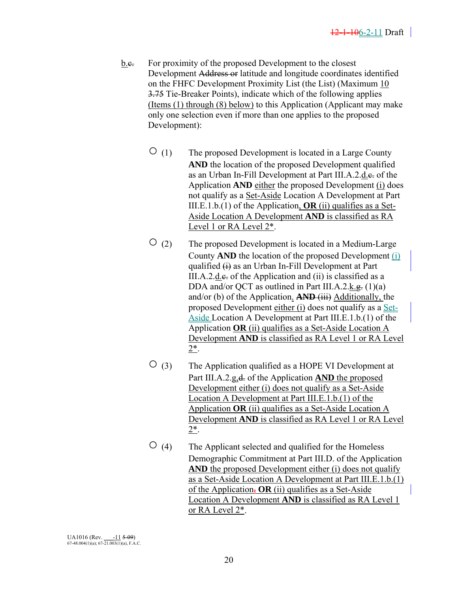- b.e. For proximity of the proposed Development to the closest Development Address or latitude and longitude coordinates identified on the FHFC Development Proximity List (the List) (Maximum 10 3.75 Tie-Breaker Points), indicate which of the following applies (Items (1) through (8) below) to this Application (Applicant may make only one selection even if more than one applies to the proposed Development):
	- $\overline{O}$  (1) The proposed Development is located in a Large County **AND** the location of the proposed Development qualified as an Urban In-Fill Development at Part III.A.2.d.e. of the Application **AND** either the proposed Development (i) does not qualify as a Set-Aside Location A Development at Part III.E.1.b.(1) of the Application, **OR** (ii) qualifies as a Set-Aside Location A Development **AND** is classified as RA Level 1 or RA Level 2\*.
	- $\overline{O}$  (2) The proposed Development is located in a Medium-Large County **AND** the location of the proposed Development (i) qualified  $\leftrightarrow$  as an Urban In-Fill Development at Part III.A.2.d. $\epsilon$  of the Application and (ii) is classified as a DDA and/or QCT as outlined in Part III.A.2.k.g.  $(1)(a)$ and/or (b) of the Application. **AND** (iii) Additionally, the proposed Development either (i) does not qualify as a Set-Aside Location A Development at Part III.E.1.b.(1) of the Application **OR** (ii) qualifies as a Set-Aside Location A Development **AND** is classified as RA Level 1 or RA Level 2\*.
	- $\circ$  (3) The Application qualified as a HOPE VI Development at Part III.A.2.g,  $d$  of the Application **AND** the proposed Development either (i) does not qualify as a Set-Aside Location A Development at Part III.E.1.b.(1) of the Application **OR** (ii) qualifies as a Set-Aside Location A Development **AND** is classified as RA Level 1 or RA Level  $2^{*}$ .
	- $\overline{O}$  (4) The Applicant selected and qualified for the Homeless Demographic Commitment at Part III.D. of the Application **AND** the proposed Development either (i) does not qualify as a Set-Aside Location A Development at Part III.E.1.b.(1) of the Application,  $OR$  (ii) qualifies as a Set-Aside Location A Development **AND** is classified as RA Level 1 or RA Level 2\*.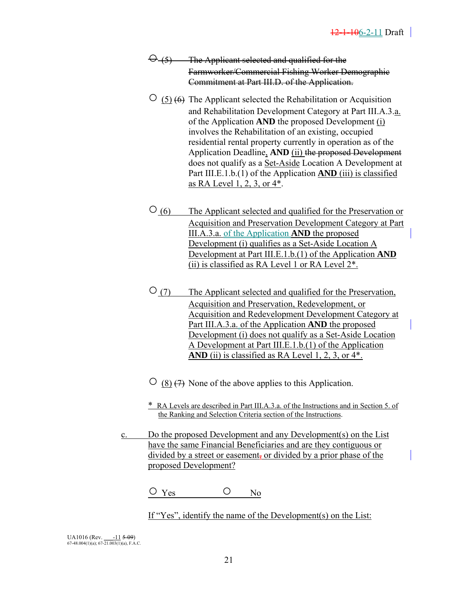- $\Theta$  (5) The Applicant selected and qualified for the Farmworker/Commercial Fishing Worker Demographic Commitment at Part III.D. of the Application.
- $\circ$  (5) (6) The Applicant selected the Rehabilitation or Acquisition and Rehabilitation Development Category at Part III.A.3.a. of the Application **AND** the proposed Development (i) involves the Rehabilitation of an existing, occupied residential rental property currently in operation as of the Application Deadline, **AND** (ii) the proposed Development does not qualify as a Set-Aside Location A Development at Part III.E.1.b.(1) of the Application **AND** (iii) is classified as RA Level 1, 2, 3, or 4\*.
- (6) The Applicant selected and qualified for the Preservation or Acquisition and Preservation Development Category at Part III.A.3.a. of the Application **AND** the proposed Development (i) qualifies as a Set-Aside Location A Development at Part III.E.1.b.(1) of the Application **AND** (ii) is classified as RA Level 1 or RA Level 2\*.
- (7) The Applicant selected and qualified for the Preservation, Acquisition and Preservation, Redevelopment, or Acquisition and Redevelopment Development Category at Part III.A.3.a. of the Application **AND** the proposed Development (i) does not qualify as a Set-Aside Location A Development at Part III.E.1.b.(1) of the Application AND (ii) is classified as RA Level 1, 2, 3, or 4<sup>\*</sup>.

 $\circ$  (8)  $\leftrightarrow$  None of the above applies to this Application.

- \* RA Levels are described in Part III.A.3.a. of the Instructions and in Section 5. of the Ranking and Selection Criteria section of the Instructions.
- c. Do the proposed Development and any Development(s) on the List have the same Financial Beneficiaries and are they contiguous or divided by a street or easement, or divided by a prior phase of the proposed Development?

 $O$  Yes  $O$  No

If "Yes", identify the name of the Development(s) on the List: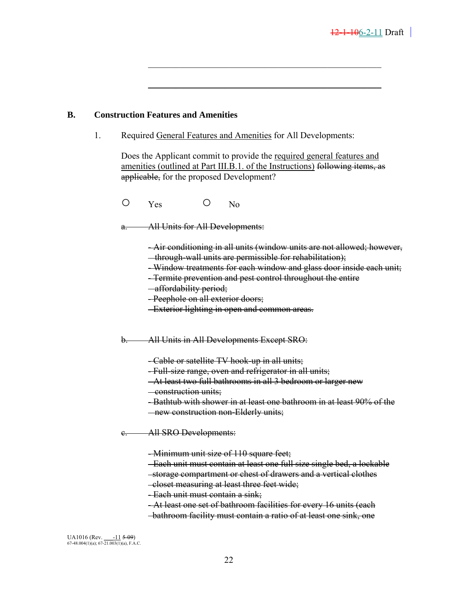#### **B. Construction Features and Amenities**

1. Required General Features and Amenities for All Developments:

 $\mathcal{L}_\mathcal{L} = \{ \mathcal{L}_\mathcal{L} = \{ \mathcal{L}_\mathcal{L} = \{ \mathcal{L}_\mathcal{L} = \{ \mathcal{L}_\mathcal{L} = \{ \mathcal{L}_\mathcal{L} = \{ \mathcal{L}_\mathcal{L} = \{ \mathcal{L}_\mathcal{L} = \{ \mathcal{L}_\mathcal{L} = \{ \mathcal{L}_\mathcal{L} = \{ \mathcal{L}_\mathcal{L} = \{ \mathcal{L}_\mathcal{L} = \{ \mathcal{L}_\mathcal{L} = \{ \mathcal{L}_\mathcal{L} = \{ \mathcal{L}_\mathcal{$ 

 $\mathcal{L}_\text{max} = \mathcal{L}_\text{max} = \mathcal{L}_\text{max} = \mathcal{L}_\text{max} = \mathcal{L}_\text{max} = \mathcal{L}_\text{max} = \mathcal{L}_\text{max} = \mathcal{L}_\text{max} = \mathcal{L}_\text{max} = \mathcal{L}_\text{max} = \mathcal{L}_\text{max} = \mathcal{L}_\text{max} = \mathcal{L}_\text{max} = \mathcal{L}_\text{max} = \mathcal{L}_\text{max} = \mathcal{L}_\text{max} = \mathcal{L}_\text{max} = \mathcal{L}_\text{max} = \mathcal{$ 

Does the Applicant commit to provide the required general features and amenities (outlined at Part III.B.1. of the Instructions) following items, as applicable, for the proposed Development?

O Yes O No

a. All Units for All Developments:

- Air conditioning in all units (window units are not allowed; however, through-wall units are permissible for rehabilitation);

- Window treatments for each window and glass door inside each unit;

- Termite prevention and pest control throughout the entire

- affordability period;
- Peephole on all exterior doors;
- Exterior lighting in open and common areas.
- b. All Units in All Developments Except SRO:

- Cable or satellite TV hook-up in all units;

- Full-size range, oven and refrigerator in all units;
- At least two full bathrooms in all 3 bedroom or larger new
- construction units;
- Bathtub with shower in at least one bathroom in at least 90% of the new construction non-Elderly units;
- c. All SRO Developments:

- Minimum unit size of 110 square feet;

- Each unit must contain at least one full size single bed, a lockable storage compartment or chest of drawers and a vertical clothes
- closet measuring at least three feet wide;
- Each unit must contain a sink;
- At least one set of bathroom facilities for every 16 units (each
- bathroom facility must contain a ratio of at least one sink, one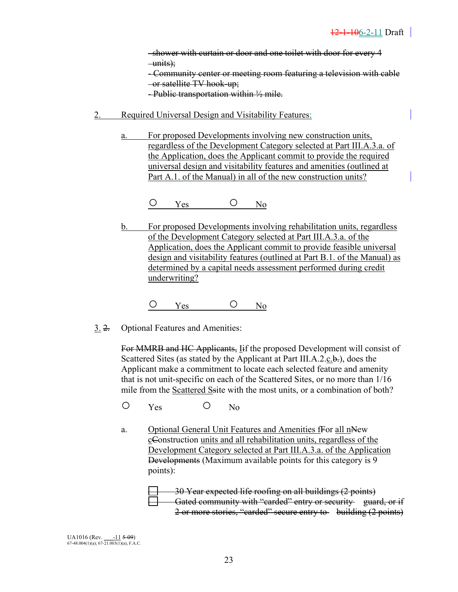shower with curtain or door and one toilet with door for every 4  $-\text{units}$ : - Community center or meeting room featuring a television with cable

or satellite TV hook-up;

- Public transportation within  $\frac{1}{2}$  mile.

- 2. Required Universal Design and Visitability Features:
	- a. For proposed Developments involving new construction units, regardless of the Development Category selected at Part III.A.3.a. of the Application, does the Applicant commit to provide the required universal design and visitability features and amenities (outlined at Part A.1. of the Manual) in all of the new construction units?

 $O$  Yes  $O$  No

b. For proposed Developments involving rehabilitation units, regardless of the Development Category selected at Part III.A.3.a. of the Application, does the Applicant commit to provide feasible universal design and visitability features (outlined at Part B.1. of the Manual) as determined by a capital needs assessment performed during credit underwriting?

 $O$  Yes  $O$  No

3. 2. Optional Features and Amenities:

 For MMRB and HC Applicants, Iif the proposed Development will consist of Scattered Sites (as stated by the Applicant at Part III.A.2.c.b.), does the Applicant make a commitment to locate each selected feature and amenity that is not unit-specific on each of the Scattered Sites, or no more than 1/16 mile from the Scattered Ssite with the most units, or a combination of both?

O Yes O No

a. Optional General Unit Features and Amenities fFor all nNew cConstruction units and all rehabilitation units, regardless of the Development Category selected at Part III.A.3.a. of the Application Developments (Maximum available points for this category is 9 points):

> 30 Year expected life roofing on all buildings (2 points) Gated community with "carded" entry or security guard, or if 2 or more stories, "carded" secure entry to building (2 points)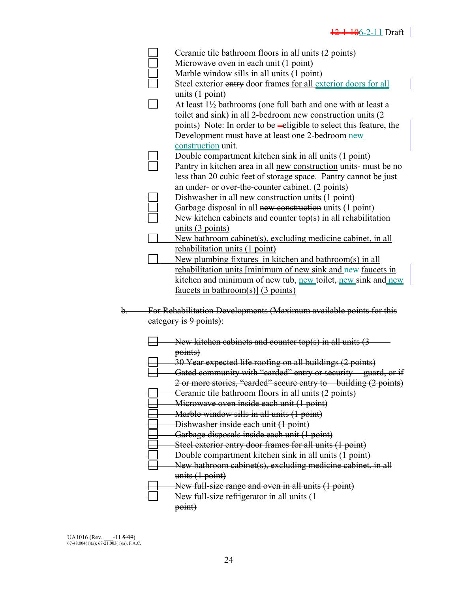$\overline{\phantom{a}}$ 

|  | Ceramic tile bathroom floors in all units (2 points)                     |
|--|--------------------------------------------------------------------------|
|  | Microwave oven in each unit (1 point)                                    |
|  | Marble window sills in all units (1 point)                               |
|  | Steel exterior entry door frames for all exterior doors for all          |
|  | units $(1 point)$                                                        |
|  | At least $1\frac{1}{2}$ bathrooms (one full bath and one with at least a |
|  | toilet and sink) in all 2-bedroom new construction units (2              |
|  | points) Note: In order to be -eligible to select this feature, the       |
|  | Development must have at least one 2-bedroom new                         |
|  | construction unit.                                                       |
|  | Double compartment kitchen sink in all units (1 point)                   |
|  |                                                                          |
|  | Pantry in kitchen area in all new construction units- must be no         |
|  | less than 20 cubic feet of storage space. Pantry cannot be just          |
|  | an under- or over-the-counter cabinet. (2 points)                        |
|  | Dishwasher in all new construction units (1 point)                       |
|  | Garbage disposal in all new construction units (1 point)                 |
|  | New kitchen cabinets and counter top(s) in all rehabilitation            |
|  | units $(3 \text{ points})$                                               |
|  | New bathroom cabinet(s), excluding medicine cabinet, in all              |
|  | rehabilitation units (1 point)                                           |
|  | New plumbing fixtures in kitchen and bathroom(s) in all                  |
|  | rehabilitation units [minimum of new sink and new faucets in             |
|  | <u>kitchen and minimum of new tub, new toilet, new sink and new</u>      |
|  | faucets in bathroom(s)] $(3 \text{ points})$                             |
|  |                                                                          |
|  | For Rehabilitation Developments (Maximum available points for this       |
|  | eategory is 9 points):                                                   |
|  |                                                                          |
|  | New kitchen cabinets and counter top(s) in all units $(3)$               |
|  | points)                                                                  |
|  | 30 Year expected life roofing on all buildings (2 points)                |
|  | Gated community with "carded" entry or security guard, or if             |
|  | 2 or more stories, "carded" secure entry to building (2 points)          |
|  | Ceramic tile bathroom floors in all units (2 points)                     |
|  | Microwave oven inside each unit (1 point)                                |
|  | Marble window sills in all units (1 point)                               |
|  | Dishwasher inside each unit (1 point)                                    |
|  | Garbage disposals inside each unit (1 point)                             |
|  |                                                                          |
|  | Steel exterior entry door frames for all units (1 point)                 |
|  | Double compartment kitchen sink in all units (1 point)                   |
|  | New bathroom cabinet(s), excluding medicine cabinet, in all              |
|  | units (1 point)                                                          |
|  |                                                                          |
|  | New full-size range and oven in all units (1 point)                      |
|  | New full-size refrigerator in all units (1<br>point)                     |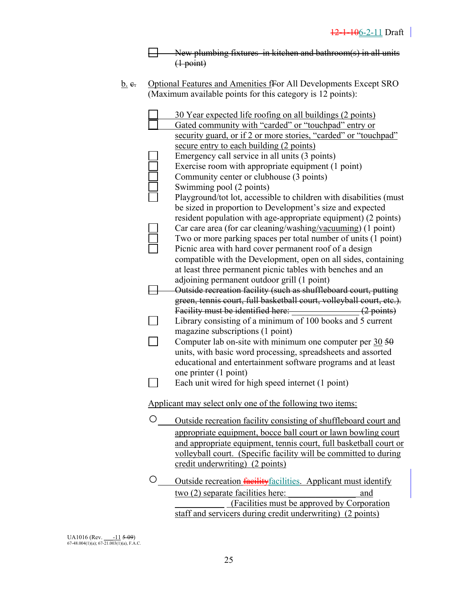$\Box$ New plumbing fixtures in kitchen and bathroom(s) in all units  $\overrightarrow{(1 \text{ point})}$ 

b. e. Optional Features and Amenities for All Developments Except SRO (Maximum available points for this category is 12 points):

|   | 30 Year expected life roofing on all buildings (2 points)                                                               |
|---|-------------------------------------------------------------------------------------------------------------------------|
|   | Gated community with "carded" or "touchpad" entry or<br>security guard, or if 2 or more stories, "carded" or "touchpad" |
|   | secure entry to each building (2 points)                                                                                |
|   | Emergency call service in all units (3 points)                                                                          |
|   | Exercise room with appropriate equipment (1 point)                                                                      |
|   | Community center or clubhouse (3 points)                                                                                |
|   | Swimming pool (2 points)                                                                                                |
|   | Playground/tot lot, accessible to children with disabilities (must                                                      |
|   | be sized in proportion to Development's size and expected                                                               |
|   | resident population with age-appropriate equipment) (2 points)                                                          |
|   | Car care area (for car cleaning/washing/vacuuming) (1 point)                                                            |
|   | Two or more parking spaces per total number of units (1 point)                                                          |
|   | Picnic area with hard cover permanent roof of a design                                                                  |
|   | compatible with the Development, open on all sides, containing                                                          |
|   | at least three permanent picnic tables with benches and an                                                              |
|   | adjoining permanent outdoor grill (1 point)                                                                             |
|   | Outside recreation facility (such as shuffleboard court, putting                                                        |
|   | green, tennis court, full basketball court, volleyball court, etc.).                                                    |
|   | Facility must be identified here: _____________________(2 points)                                                       |
|   | Library consisting of a minimum of 100 books and 5 current                                                              |
|   | magazine subscriptions (1 point)                                                                                        |
|   | Computer lab on-site with minimum one computer per $30,50$                                                              |
|   | units, with basic word processing, spreadsheets and assorted                                                            |
|   | educational and entertainment software programs and at least                                                            |
|   | one printer (1 point)                                                                                                   |
|   | Each unit wired for high speed internet (1 point)                                                                       |
|   | Applicant may select only one of the following two items:                                                               |
|   |                                                                                                                         |
|   | Outside recreation facility consisting of shuffleboard court and                                                        |
|   | appropriate equipment, bocce ball court or lawn bowling court                                                           |
|   | and appropriate equipment, tennis court, full basketball court or                                                       |
|   | volleyball court. (Specific facility will be committed to during                                                        |
|   | credit underwriting) (2 points)                                                                                         |
| O | Outside recreation <b>facility</b> facilities. Applicant must identify                                                  |
|   | $two(2)$ separate facilities here:<br>and                                                                               |
|   | (Facilities must be approved by Corporation                                                                             |
|   | staff and servicers during credit underwriting) (2 points)                                                              |
|   |                                                                                                                         |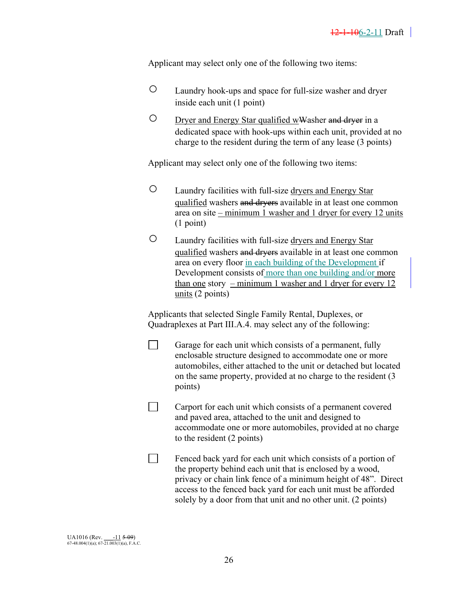Applicant may select only one of the following two items:

- Laundry hook-ups and space for full-size washer and dryer inside each unit (1 point)
- O Dryer and Energy Star qualified wWasher and dryer in a dedicated space with hook-ups within each unit, provided at no charge to the resident during the term of any lease (3 points)

Applicant may select only one of the following two items:

- Laundry facilities with full-size dryers and Energy Star qualified washers and dryers available in at least one common area on site – minimum 1 washer and 1 dryer for every 12 units (1 point)
- Laundry facilities with full-size dryers and Energy Star qualified washers and dryers available in at least one common area on every floor in each building of the Development if Development consists of more than one building and/or more than one story – minimum 1 washer and 1 dryer for every 12 units (2 points)

Applicants that selected Single Family Rental, Duplexes, or Quadraplexes at Part III.A.4. may select any of the following:

| Garage for each unit which consists of a permanent, fully        |
|------------------------------------------------------------------|
| enclosable structure designed to accommodate one or more         |
| automobiles, either attached to the unit or detached but located |
| on the same property, provided at no charge to the resident (3)  |
| points)                                                          |

- Carport for each unit which consists of a permanent covered and paved area, attached to the unit and designed to accommodate one or more automobiles, provided at no charge to the resident (2 points)
- $\Box$  Fenced back yard for each unit which consists of a portion of the property behind each unit that is enclosed by a wood, privacy or chain link fence of a minimum height of 48". Direct access to the fenced back yard for each unit must be afforded solely by a door from that unit and no other unit. (2 points)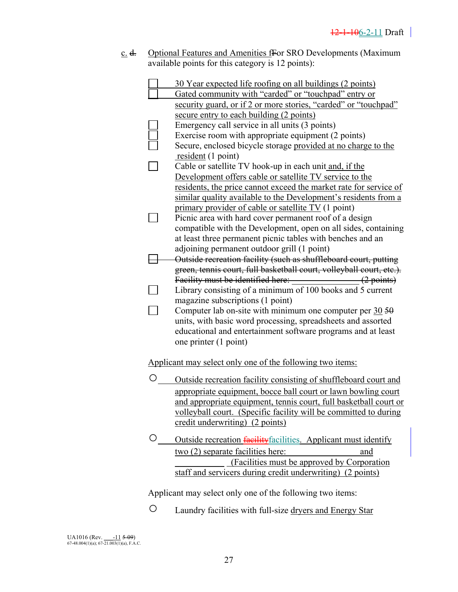c. d. Optional Features and Amenities from SRO Developments (Maximum available points for this category is 12 points):

|   | 30 Year expected life roofing on all buildings (2 points)                                                         |
|---|-------------------------------------------------------------------------------------------------------------------|
|   | Gated community with "carded" or "touchpad" entry or                                                              |
|   | security guard, or if 2 or more stories, "carded" or "touchpad"                                                   |
|   | secure entry to each building (2 points)                                                                          |
|   | Emergency call service in all units (3 points)                                                                    |
|   | Exercise room with appropriate equipment (2 points)                                                               |
|   | Secure, enclosed bicycle storage provided at no charge to the                                                     |
|   | resident $(1 \text{ point})$                                                                                      |
|   | Cable or satellite TV hook-up in each unit and, if the<br>Development offers cable or satellite TV service to the |
|   | residents, the price cannot exceed the market rate for service of                                                 |
|   | similar quality available to the Development's residents from a                                                   |
|   | primary provider of cable or satellite TV (1 point)                                                               |
|   | Picnic area with hard cover permanent roof of a design                                                            |
|   | compatible with the Development, open on all sides, containing                                                    |
|   | at least three permanent picnic tables with benches and an                                                        |
|   | adjoining permanent outdoor grill (1 point)                                                                       |
|   | Outside recreation facility (such as shuffleboard court, putting                                                  |
|   | green, tennis court, full basketball court, volleyball court, etc.).                                              |
|   |                                                                                                                   |
|   | Library consisting of a minimum of 100 books and 5 current                                                        |
|   | magazine subscriptions (1 point)                                                                                  |
|   | Computer lab on-site with minimum one computer per $30\overline{50}$                                              |
|   | units, with basic word processing, spreadsheets and assorted                                                      |
|   | educational and entertainment software programs and at least                                                      |
|   | one printer (1 point)                                                                                             |
|   | Applicant may select only one of the following two items:                                                         |
|   |                                                                                                                   |
| О | Outside recreation facility consisting of shuffleboard court and                                                  |
|   | appropriate equipment, bocce ball court or lawn bowling court                                                     |
|   | and appropriate equipment, tennis court, full basketball court or                                                 |
|   | <u>volleyball court.</u> (Specific facility will be committed to during                                           |
|   | credit underwriting) (2 points)                                                                                   |
| О | Outside recreation facility facilities. Applicant must identify                                                   |
|   | two (2) separate facilities here:<br>and                                                                          |
|   | (Facilities must be approved by Corporation                                                                       |
|   | staff and servicers during credit underwriting) (2 points)                                                        |
|   | Applicant may select only one of the following two items:                                                         |
| O |                                                                                                                   |
|   | Laundry facilities with full-size dryers and Energy Star                                                          |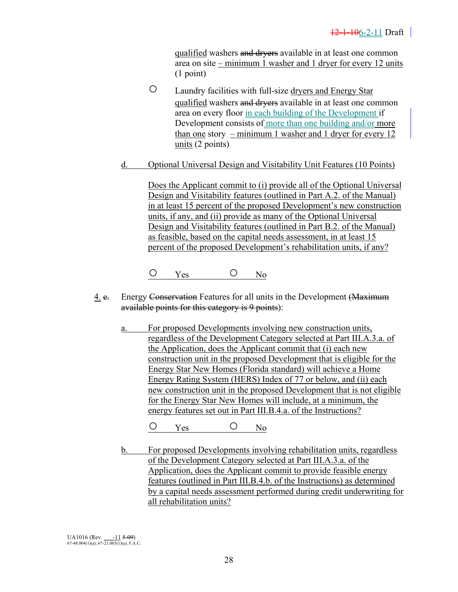qualified washers and dryers available in at least one common area on site – minimum 1 washer and 1 dryer for every 12 units (1 point)

- Laundry facilities with full-size dryers and Energy Star qualified washers and dryers available in at least one common area on every floor in each building of the Development if Development consists of more than one building and/or more than one story – minimum 1 washer and 1 dryer for every 12 units (2 points)
- d. Optional Universal Design and Visitability Unit Features (10 Points)

Does the Applicant commit to (i) provide all of the Optional Universal Design and Visitability features (outlined in Part A.2. of the Manual) in at least 15 percent of the proposed Development's new construction units, if any, and (ii) provide as many of the Optional Universal Design and Visitability features (outlined in Part B.2. of the Manual) as feasible, based on the capital needs assessment, in at least 15 percent of the proposed Development's rehabilitation units, if any?

 $O$  Yes  $O$  No

- 4. e. Energy Conservation Features for all units in the Development (Maximum available points for this category is 9 points):
	- a. For proposed Developments involving new construction units, regardless of the Development Category selected at Part III.A.3.a. of the Application, does the Applicant commit that (i) each new construction unit in the proposed Development that is eligible for the Energy Star New Homes (Florida standard) will achieve a Home Energy Rating System (HERS) Index of 77 or below, and (ii) each new construction unit in the proposed Development that is not eligible for the Energy Star New Homes will include, at a minimum, the energy features set out in Part III.B.4.a. of the Instructions?

O Yes O No

 b. For proposed Developments involving rehabilitation units, regardless of the Development Category selected at Part III.A.3.a. of the Application, does the Applicant commit to provide feasible energy features (outlined in Part III.B.4.b. of the Instructions) as determined by a capital needs assessment performed during credit underwriting for all rehabilitation units?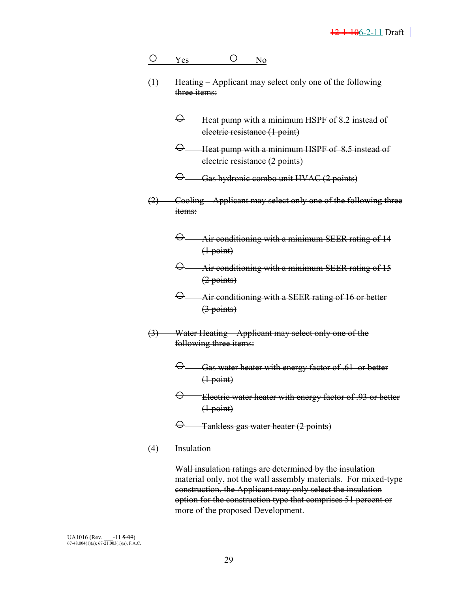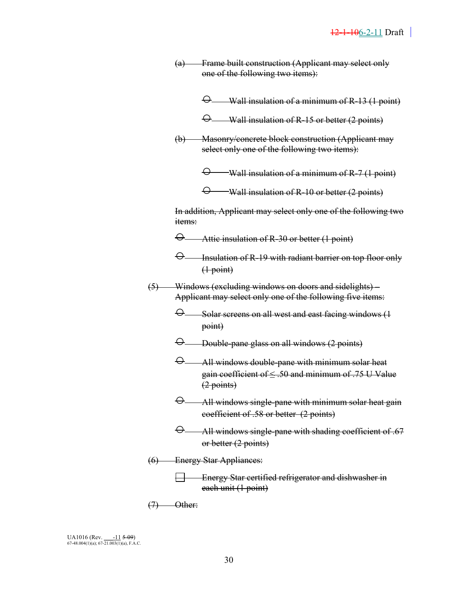- (a) Frame built construction (Applicant may select only one of the following two items):
	- $\Theta$  Wall insulation of a minimum of R-13 (1 point)
	- Wall insulation of R-15 or better (2 points)
- (b) Masonry/concrete block construction (Applicant may select only one of the following two items):

 $\Theta$  Wall insulation of a minimum of R-7 (1 point)

 $\Theta$  Wall insulation of R-10 or better (2 points)

 In addition, Applicant may select only one of the following two items:

- Attic insulation of R-30 or better (1 point)
- $\Theta$  Insulation of R-19 with radiant barrier on top floor only  $(1$  point)
- (5) Windows (excluding windows on doors and sidelights) Applicant may select only one of the following five items:
	- $\Theta$  Solar screens on all west and east facing windows (1 point)
	- $\Theta$  Double-pane glass on all windows (2 points)
	- $\Theta$  All windows double-pane with minimum solar heat gain coefficient of  $\leq 50$  and minimum of .75 U Value (2 points)
	- $\Theta$  All windows single-pane with minimum solar heat gain coefficient of .58 or better (2 points)
	- $\Theta$  All windows single-pane with shading coefficient of .67 or better (2 points)
- (6) Energy Star Appliances:

Energy Star certified refrigerator and dishwasher in each unit (1 point)

 $(7)$  Other: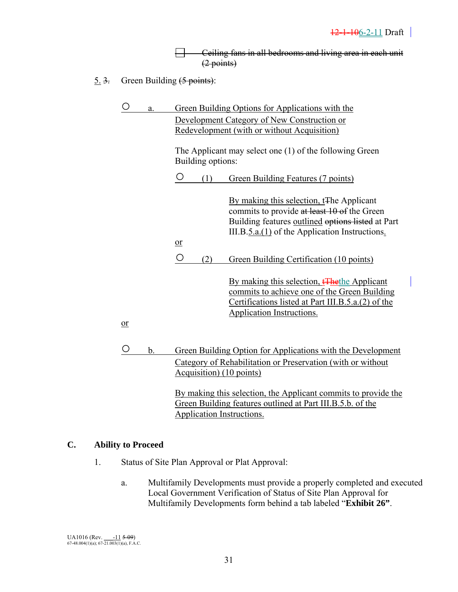┕ Ceiling fans in all bedrooms and living area in each unit (2 points)

5. 3. Green Building (5 points):

| The Applicant may select one (1) of the following Green                                                                                                                                                               |  |
|-----------------------------------------------------------------------------------------------------------------------------------------------------------------------------------------------------------------------|--|
| Building options:                                                                                                                                                                                                     |  |
| O<br>(1)<br>Green Building Features (7 points)                                                                                                                                                                        |  |
| By making this selection, t <sub>The Applicant</sub><br>commits to provide at least 10 of the Green<br>Building features outlined options listed at Part<br>III.B. $5.a.(1)$ of the Application Instructions.<br>$or$ |  |
| $\bigcirc$<br>(2)<br>Green Building Certification (10 points)                                                                                                                                                         |  |
| By making this selection, <del>[The</del> the Applicant]<br>commits to achieve one of the Green Building<br>Certifications listed at Part III.B.5.a.(2) of the<br>Application Instructions.                           |  |
| $or$                                                                                                                                                                                                                  |  |
| Ő<br>b.<br>Green Building Option for Applications with the Development<br>Category of Rehabilitation or Preservation (with or without                                                                                 |  |

 By making this selection, the Applicant commits to provide the Green Building features outlined at Part III.B.5.b. of the Application Instructions.

#### **C. Ability to Proceed**

1. Status of Site Plan Approval or Plat Approval:

Acquisition) (10 points)

 a. Multifamily Developments must provide a properly completed and executed Local Government Verification of Status of Site Plan Approval for Multifamily Developments form behind a tab labeled "**Exhibit 26"**.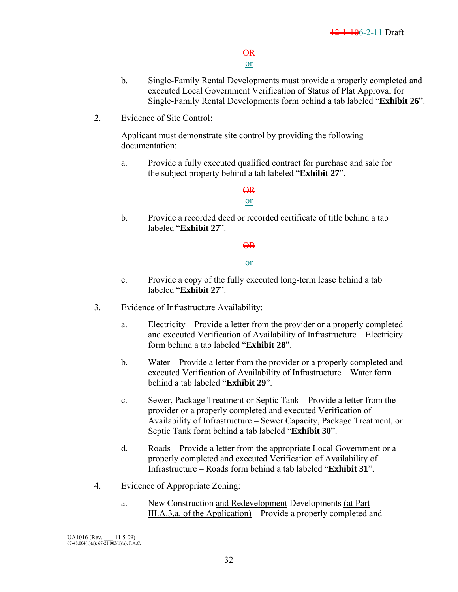#### $\Theta$ <sub>R</sub> or

- b. Single-Family Rental Developments must provide a properly completed and executed Local Government Verification of Status of Plat Approval for Single-Family Rental Developments form behind a tab labeled "**Exhibit 26**".
- 2. Evidence of Site Control:

 Applicant must demonstrate site control by providing the following documentation:

 a. Provide a fully executed qualified contract for purchase and sale for the subject property behind a tab labeled "**Exhibit 27**".

#### $\overline{QR}$ or

 b. Provide a recorded deed or recorded certificate of title behind a tab labeled "**Exhibit 27**".

#### $\overline{QR}$

#### or

- c. Provide a copy of the fully executed long-term lease behind a tab labeled "**Exhibit 27**".
- 3. Evidence of Infrastructure Availability:
	- a. Electricity Provide a letter from the provider or a properly completed and executed Verification of Availability of Infrastructure – Electricity form behind a tab labeled "**Exhibit 28**".
	- b. Water Provide a letter from the provider or a properly completed and executed Verification of Availability of Infrastructure – Water form behind a tab labeled "**Exhibit 29**".
	- c. Sewer, Package Treatment or Septic Tank Provide a letter from the provider or a properly completed and executed Verification of Availability of Infrastructure – Sewer Capacity, Package Treatment, or Septic Tank form behind a tab labeled "**Exhibit 30**".
	- d. Roads Provide a letter from the appropriate Local Government or a properly completed and executed Verification of Availability of Infrastructure – Roads form behind a tab labeled "**Exhibit 31**".
- 4. Evidence of Appropriate Zoning:
	- a. New Construction and Redevelopment Developments (at Part III.A.3.a. of the Application) – Provide a properly completed and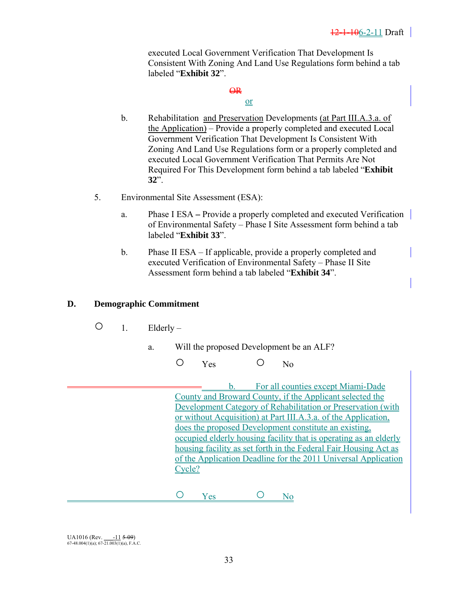executed Local Government Verification That Development Is Consistent With Zoning And Land Use Regulations form behind a tab labeled "**Exhibit 32**".

### $\overline{\Theta}$

### or

- b. Rehabilitation and Preservation Developments (at Part III.A.3.a. of the Application) – Provide a properly completed and executed Local Government Verification That Development Is Consistent With Zoning And Land Use Regulations form or a properly completed and executed Local Government Verification That Permits Are Not Required For This Development form behind a tab labeled "**Exhibit 32**".
- 5. Environmental Site Assessment (ESA):
	- a. Phase I ESAProvide a properly completed and executed Verification of Environmental Safety – Phase I Site Assessment form behind a tab labeled "**Exhibit 33**".
	- b. Phase II ESA If applicable, provide a properly completed and executed Verification of Environmental Safety – Phase II Site Assessment form behind a tab labeled "**Exhibit 34**".

### **D. Demographic Commitment**

- $\bigcirc$  1. Elderly
	- a. Will the proposed Development be an ALF?
		- O Yes O No

 b. For all counties except Miami-Dade County and Broward County, if the Applicant selected the Development Category of Rehabilitation or Preservation (with or without Acquisition) at Part III.A.3.a. of the Application, does the proposed Development constitute an existing, occupied elderly housing facility that is operating as an elderly housing facility as set forth in the Federal Fair Housing Act as of the Application Deadline for the 2011 Universal Application Cycle?

O Yes O No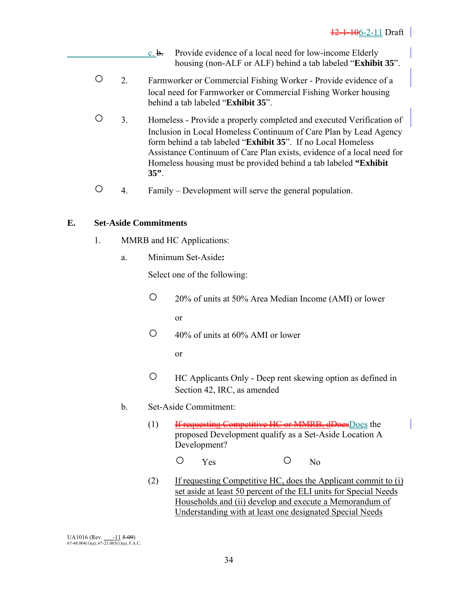- $c. b.$  Provide evidence of a local need for low-income Elderly housing (non-ALF or ALF) behind a tab labeled "**Exhibit 35**".
- 2. Farmworker or Commercial Fishing Worker Provide evidence of a local need for Farmworker or Commercial Fishing Worker housing behind a tab labeled "**Exhibit 35**".
- 3. Homeless Provide a properly completed and executed Verification of Inclusion in Local Homeless Continuum of Care Plan by Lead Agency form behind a tab labeled "**Exhibit 35**". If no Local Homeless Assistance Continuum of Care Plan exists, evidence of a local need for Homeless housing must be provided behind a tab labeled **"Exhibit 35"**.
- 4. Family Development will serve the general population.

### **E. Set-Aside Commitments**

- 1. MMRB and HC Applications:
	- a. Minimum Set-Aside**:**

Select one of the following:

- 20% of units at 50% Area Median Income (AMI) or lower or
- $\degree$  40% of units at 60% AMI or lower

or and the state of the state of the state of the state of the state of the state of the state of the state of the state of the state of the state of the state of the state of the state of the state of the state of the sta

- HC Applicants Only Deep rent skewing option as defined in Section 42, IRC, as amended
- b. Set-Aside Commitment:
	- (1) If requesting Competitive HC or MMRB, dDoes Does the proposed Development qualify as a Set-Aside Location A Development?
- O Yes O No
	- (2) If requesting Competitive HC, does the Applicant commit to (i) set aside at least 50 percent of the ELI units for Special Needs Households and (ii) develop and execute a Memorandum of Understanding with at least one designated Special Needs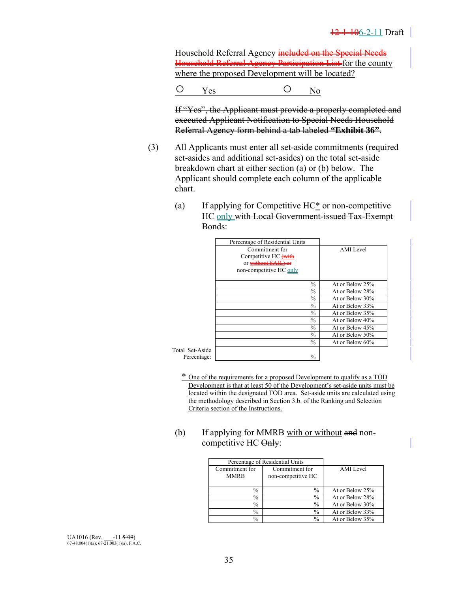Household Referral Agency included on the Special Needs Household Referral Agency Participation List for the county where the proposed Development will be located?

 $O$  Yes  $O$  No

 If "Yes", the Applicant must provide a properly completed and executed Applicant Notification to Special Needs Household Referral Agency form behind a tab labeled **"Exhibit 36"**.

- (3) All Applicants must enter all set-aside commitments (required set-asides and additional set-asides) on the total set-aside breakdown chart at either section (a) or (b) below. The Applicant should complete each column of the applicable chart.
	- (a) If applying for Competitive HC\* or non-competitive HC only with Local Government-issued Tax-Exempt Bonds:

|                 | Percentage of Residential Units |
|-----------------|---------------------------------|
| AMI Level       | Commitment for                  |
|                 | Competitive HC (with            |
|                 | or without SAIL) or             |
|                 | non-competitive HC only         |
| At or Below 25% | $\frac{0}{0}$                   |
| At or Below 28% | $\frac{0}{0}$                   |
| At or Below 30% | $\frac{0}{0}$                   |
| At or Below 33% | $\frac{0}{0}$                   |
| At or Below 35% | $\frac{0}{0}$                   |
| At or Below 40% | $\frac{0}{0}$                   |
| At or Below 45% | $\frac{0}{0}$                   |
| At or Below 50% | $\frac{0}{0}$                   |
| At or Below 60% | $\frac{0}{0}$                   |

Total Set-Percentage: |

> \* One of the requirements for a proposed Development to qualify as a TOD Development is that at least 50 of the Development's set-aside units must be located within the designated TOD area. Set-aside units are calculated using the methodology described in Section 3.b. of the Ranking and Selection Criteria section of the Instructions.

(b) If applying for MMRB with or without and noncompetitive HC Only:

| Percentage of Residential Units |                    |                 |
|---------------------------------|--------------------|-----------------|
| Commitment for                  | Commitment for     | AMI Level       |
| <b>MMRB</b>                     | non-competitive HC |                 |
|                                 |                    |                 |
| $\%$                            | $\%$               | At or Below 25% |
| $\%$                            | $\frac{0}{0}$      | At or Below 28% |
| $\%$                            | $\%$               | At or Below 30% |
| $\%$                            | $\frac{0}{0}$      | At or Below 33% |
| $\%$                            | $\frac{0}{0}$      | At or Below 35% |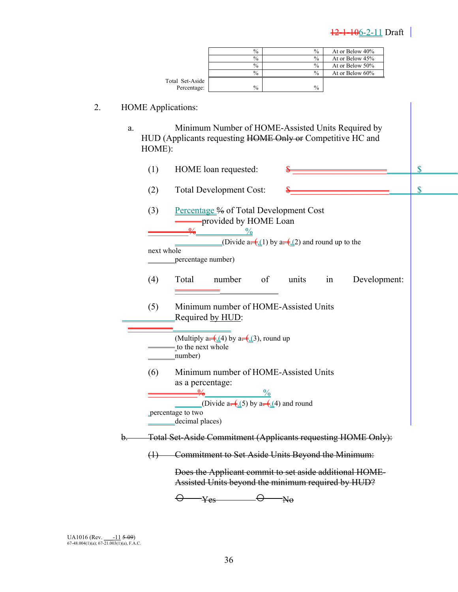| $\frac{0}{0}$<br>$\frac{0}{0}$<br>At or Below 45%<br>$\%$<br>$\%$<br>At or Below 50%<br>$\frac{0}{6}$<br>$\frac{0}{0}$<br>At or Below 60%<br>Total Set-Aside<br>$\%$<br>$\%$<br>Percentage:<br>2.<br><b>HOME Applications:</b><br>Minimum Number of HOME-Assisted Units Required by<br>a.<br>HUD (Applicants requesting HOME Only or Competitive HC and<br>HOME):<br>\$<br>(1)<br>HOME loan requested:<br>\$<br>(2)<br><b>Total Development Cost:</b><br>Percentage % of Total Development Cost<br>(3)<br>-provided by HOME Loan<br>$\frac{0}{0}$<br>(Divide a $\frac{(-1)}{2}$ ) by a $\frac{(-1)}{2}$ and round up to the<br>next whole<br>percentage number)<br>(4)<br>Total<br>number<br>of<br>units<br>Development:<br>in<br>Minimum number of HOME-Assisted Units<br>(5)<br>Required by HUD:<br>(Multiply a= $\left(\frac{1}{4}\right)$ by a= $\left(\frac{1}{4}\right)$ , round up<br>to the next whole<br>number)<br>Minimum number of HOME-Assisted Units<br>(6)<br>as a percentage:<br>$\frac{0}{0}$<br>(Divide a= $\left(\frac{1}{2}\right)$ by a= $\left(\frac{1}{2}\right)$ and round<br>percentage to two<br>decimal places)<br>Total Set-Aside Commitment (Applicants requesting HOME Only):<br>b.<br>Commitment to Set Aside Units Beyond the Minimum:<br>$\leftrightarrow$<br>Does the Applicant commit to set aside additional HOME- | $\%$ | $\frac{0}{0}$ | At or Below 40% |  |  |  |
|--------------------------------------------------------------------------------------------------------------------------------------------------------------------------------------------------------------------------------------------------------------------------------------------------------------------------------------------------------------------------------------------------------------------------------------------------------------------------------------------------------------------------------------------------------------------------------------------------------------------------------------------------------------------------------------------------------------------------------------------------------------------------------------------------------------------------------------------------------------------------------------------------------------------------------------------------------------------------------------------------------------------------------------------------------------------------------------------------------------------------------------------------------------------------------------------------------------------------------------------------------------------------------------------------------------------------------------------------------|------|---------------|-----------------|--|--|--|
|                                                                                                                                                                                                                                                                                                                                                                                                                                                                                                                                                                                                                                                                                                                                                                                                                                                                                                                                                                                                                                                                                                                                                                                                                                                                                                                                                        |      |               |                 |  |  |  |
|                                                                                                                                                                                                                                                                                                                                                                                                                                                                                                                                                                                                                                                                                                                                                                                                                                                                                                                                                                                                                                                                                                                                                                                                                                                                                                                                                        |      |               |                 |  |  |  |
|                                                                                                                                                                                                                                                                                                                                                                                                                                                                                                                                                                                                                                                                                                                                                                                                                                                                                                                                                                                                                                                                                                                                                                                                                                                                                                                                                        |      |               |                 |  |  |  |
|                                                                                                                                                                                                                                                                                                                                                                                                                                                                                                                                                                                                                                                                                                                                                                                                                                                                                                                                                                                                                                                                                                                                                                                                                                                                                                                                                        |      |               |                 |  |  |  |
|                                                                                                                                                                                                                                                                                                                                                                                                                                                                                                                                                                                                                                                                                                                                                                                                                                                                                                                                                                                                                                                                                                                                                                                                                                                                                                                                                        |      |               |                 |  |  |  |
|                                                                                                                                                                                                                                                                                                                                                                                                                                                                                                                                                                                                                                                                                                                                                                                                                                                                                                                                                                                                                                                                                                                                                                                                                                                                                                                                                        |      |               |                 |  |  |  |
|                                                                                                                                                                                                                                                                                                                                                                                                                                                                                                                                                                                                                                                                                                                                                                                                                                                                                                                                                                                                                                                                                                                                                                                                                                                                                                                                                        |      |               |                 |  |  |  |
|                                                                                                                                                                                                                                                                                                                                                                                                                                                                                                                                                                                                                                                                                                                                                                                                                                                                                                                                                                                                                                                                                                                                                                                                                                                                                                                                                        |      |               |                 |  |  |  |
|                                                                                                                                                                                                                                                                                                                                                                                                                                                                                                                                                                                                                                                                                                                                                                                                                                                                                                                                                                                                                                                                                                                                                                                                                                                                                                                                                        |      |               |                 |  |  |  |
|                                                                                                                                                                                                                                                                                                                                                                                                                                                                                                                                                                                                                                                                                                                                                                                                                                                                                                                                                                                                                                                                                                                                                                                                                                                                                                                                                        |      |               |                 |  |  |  |
|                                                                                                                                                                                                                                                                                                                                                                                                                                                                                                                                                                                                                                                                                                                                                                                                                                                                                                                                                                                                                                                                                                                                                                                                                                                                                                                                                        |      |               |                 |  |  |  |
|                                                                                                                                                                                                                                                                                                                                                                                                                                                                                                                                                                                                                                                                                                                                                                                                                                                                                                                                                                                                                                                                                                                                                                                                                                                                                                                                                        |      |               |                 |  |  |  |
|                                                                                                                                                                                                                                                                                                                                                                                                                                                                                                                                                                                                                                                                                                                                                                                                                                                                                                                                                                                                                                                                                                                                                                                                                                                                                                                                                        |      |               |                 |  |  |  |
|                                                                                                                                                                                                                                                                                                                                                                                                                                                                                                                                                                                                                                                                                                                                                                                                                                                                                                                                                                                                                                                                                                                                                                                                                                                                                                                                                        |      |               |                 |  |  |  |
|                                                                                                                                                                                                                                                                                                                                                                                                                                                                                                                                                                                                                                                                                                                                                                                                                                                                                                                                                                                                                                                                                                                                                                                                                                                                                                                                                        |      |               |                 |  |  |  |
|                                                                                                                                                                                                                                                                                                                                                                                                                                                                                                                                                                                                                                                                                                                                                                                                                                                                                                                                                                                                                                                                                                                                                                                                                                                                                                                                                        |      |               |                 |  |  |  |
|                                                                                                                                                                                                                                                                                                                                                                                                                                                                                                                                                                                                                                                                                                                                                                                                                                                                                                                                                                                                                                                                                                                                                                                                                                                                                                                                                        |      |               |                 |  |  |  |
|                                                                                                                                                                                                                                                                                                                                                                                                                                                                                                                                                                                                                                                                                                                                                                                                                                                                                                                                                                                                                                                                                                                                                                                                                                                                                                                                                        |      |               |                 |  |  |  |
|                                                                                                                                                                                                                                                                                                                                                                                                                                                                                                                                                                                                                                                                                                                                                                                                                                                                                                                                                                                                                                                                                                                                                                                                                                                                                                                                                        |      |               |                 |  |  |  |
|                                                                                                                                                                                                                                                                                                                                                                                                                                                                                                                                                                                                                                                                                                                                                                                                                                                                                                                                                                                                                                                                                                                                                                                                                                                                                                                                                        |      |               |                 |  |  |  |
|                                                                                                                                                                                                                                                                                                                                                                                                                                                                                                                                                                                                                                                                                                                                                                                                                                                                                                                                                                                                                                                                                                                                                                                                                                                                                                                                                        |      |               |                 |  |  |  |
|                                                                                                                                                                                                                                                                                                                                                                                                                                                                                                                                                                                                                                                                                                                                                                                                                                                                                                                                                                                                                                                                                                                                                                                                                                                                                                                                                        |      |               |                 |  |  |  |
|                                                                                                                                                                                                                                                                                                                                                                                                                                                                                                                                                                                                                                                                                                                                                                                                                                                                                                                                                                                                                                                                                                                                                                                                                                                                                                                                                        |      |               |                 |  |  |  |
|                                                                                                                                                                                                                                                                                                                                                                                                                                                                                                                                                                                                                                                                                                                                                                                                                                                                                                                                                                                                                                                                                                                                                                                                                                                                                                                                                        |      |               |                 |  |  |  |
|                                                                                                                                                                                                                                                                                                                                                                                                                                                                                                                                                                                                                                                                                                                                                                                                                                                                                                                                                                                                                                                                                                                                                                                                                                                                                                                                                        |      |               |                 |  |  |  |
|                                                                                                                                                                                                                                                                                                                                                                                                                                                                                                                                                                                                                                                                                                                                                                                                                                                                                                                                                                                                                                                                                                                                                                                                                                                                                                                                                        |      |               |                 |  |  |  |
|                                                                                                                                                                                                                                                                                                                                                                                                                                                                                                                                                                                                                                                                                                                                                                                                                                                                                                                                                                                                                                                                                                                                                                                                                                                                                                                                                        |      |               |                 |  |  |  |
|                                                                                                                                                                                                                                                                                                                                                                                                                                                                                                                                                                                                                                                                                                                                                                                                                                                                                                                                                                                                                                                                                                                                                                                                                                                                                                                                                        |      |               |                 |  |  |  |
|                                                                                                                                                                                                                                                                                                                                                                                                                                                                                                                                                                                                                                                                                                                                                                                                                                                                                                                                                                                                                                                                                                                                                                                                                                                                                                                                                        |      |               |                 |  |  |  |
|                                                                                                                                                                                                                                                                                                                                                                                                                                                                                                                                                                                                                                                                                                                                                                                                                                                                                                                                                                                                                                                                                                                                                                                                                                                                                                                                                        |      |               |                 |  |  |  |
|                                                                                                                                                                                                                                                                                                                                                                                                                                                                                                                                                                                                                                                                                                                                                                                                                                                                                                                                                                                                                                                                                                                                                                                                                                                                                                                                                        |      |               |                 |  |  |  |
|                                                                                                                                                                                                                                                                                                                                                                                                                                                                                                                                                                                                                                                                                                                                                                                                                                                                                                                                                                                                                                                                                                                                                                                                                                                                                                                                                        |      |               |                 |  |  |  |
|                                                                                                                                                                                                                                                                                                                                                                                                                                                                                                                                                                                                                                                                                                                                                                                                                                                                                                                                                                                                                                                                                                                                                                                                                                                                                                                                                        |      |               |                 |  |  |  |
|                                                                                                                                                                                                                                                                                                                                                                                                                                                                                                                                                                                                                                                                                                                                                                                                                                                                                                                                                                                                                                                                                                                                                                                                                                                                                                                                                        |      |               |                 |  |  |  |
|                                                                                                                                                                                                                                                                                                                                                                                                                                                                                                                                                                                                                                                                                                                                                                                                                                                                                                                                                                                                                                                                                                                                                                                                                                                                                                                                                        |      |               |                 |  |  |  |
|                                                                                                                                                                                                                                                                                                                                                                                                                                                                                                                                                                                                                                                                                                                                                                                                                                                                                                                                                                                                                                                                                                                                                                                                                                                                                                                                                        |      |               |                 |  |  |  |
|                                                                                                                                                                                                                                                                                                                                                                                                                                                                                                                                                                                                                                                                                                                                                                                                                                                                                                                                                                                                                                                                                                                                                                                                                                                                                                                                                        |      |               |                 |  |  |  |
|                                                                                                                                                                                                                                                                                                                                                                                                                                                                                                                                                                                                                                                                                                                                                                                                                                                                                                                                                                                                                                                                                                                                                                                                                                                                                                                                                        |      |               |                 |  |  |  |
|                                                                                                                                                                                                                                                                                                                                                                                                                                                                                                                                                                                                                                                                                                                                                                                                                                                                                                                                                                                                                                                                                                                                                                                                                                                                                                                                                        |      |               |                 |  |  |  |
|                                                                                                                                                                                                                                                                                                                                                                                                                                                                                                                                                                                                                                                                                                                                                                                                                                                                                                                                                                                                                                                                                                                                                                                                                                                                                                                                                        |      |               |                 |  |  |  |
|                                                                                                                                                                                                                                                                                                                                                                                                                                                                                                                                                                                                                                                                                                                                                                                                                                                                                                                                                                                                                                                                                                                                                                                                                                                                                                                                                        |      |               |                 |  |  |  |
|                                                                                                                                                                                                                                                                                                                                                                                                                                                                                                                                                                                                                                                                                                                                                                                                                                                                                                                                                                                                                                                                                                                                                                                                                                                                                                                                                        |      |               |                 |  |  |  |
| Assisted Units beyond the minimum required by HUD?                                                                                                                                                                                                                                                                                                                                                                                                                                                                                                                                                                                                                                                                                                                                                                                                                                                                                                                                                                                                                                                                                                                                                                                                                                                                                                     |      |               |                 |  |  |  |
| $N_{\theta}$<br>Yes-                                                                                                                                                                                                                                                                                                                                                                                                                                                                                                                                                                                                                                                                                                                                                                                                                                                                                                                                                                                                                                                                                                                                                                                                                                                                                                                                   |      |               |                 |  |  |  |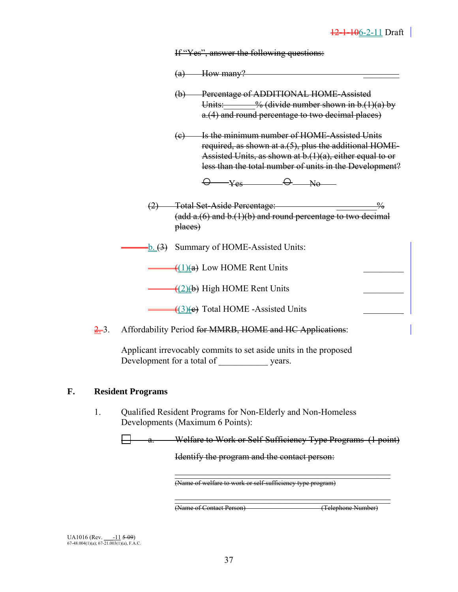If "Yes", answer the following questions:

- $(a)$  How many?
- (b) Percentage of ADDITIONAL HOME-Assisted Units:  $\frac{9}{6}$  (divide number shown in b.(1)(a) by a.(4) and round percentage to two decimal places)
- (c) Is the minimum number of HOME-Assisted Units required, as shown at a.(5), plus the additional HOME-Assisted Units, as shown at b.(1)(a), either equal to or less than the total number of units in the Development?

 $\Theta$  yes  $\Theta$  No  $\Theta$ 

- (2) Total Set-Aside Percentage: \_\_\_\_\_\_\_\_\_%  $(add a.6)$  and  $b.(1)(b)$  and round percentage to two decimal places)
- $-\underline{b}$ . (3) Summary of HOME-Assisted Units:

 $\triangleq (1)(a)$  Low HOME Rent Units

 $\rightarrow$  (2)(b) High HOME Rent Units

 $\left(3\right)\left(\text{e}\right)$  Total HOME -Assisted Units

2.3. Affordability Period for MMRB, HOME and HC Applications:

Applicant irrevocably commits to set aside units in the proposed Development for a total of \_\_\_\_\_\_\_\_\_\_\_ years.

#### **F. Resident Programs**

1. Qualified Resident Programs for Non-Elderly and Non-Homeless Developments (Maximum 6 Points):

a. Welfare to Work or Self-Sufficiency Type Programs (1 point)

Identify the program and the contact person:

(Name of welfare to work or self-sufficiency type program)

 $\mathcal{L}_\text{max}$  and  $\mathcal{L}_\text{max}$  are the contract of the contract of the contract of the contract of the contract of the contract of the contract of the contract of the contract of the contract of the contract of the contr

 $\mathcal{L}_\text{max}$  and  $\mathcal{L}_\text{max}$  are the contract of the contract of the contract of the contract of the contract of the contract of the contract of the contract of the contract of the contract of the contract of the contr

(Name of Contact Person) (Telephone Number)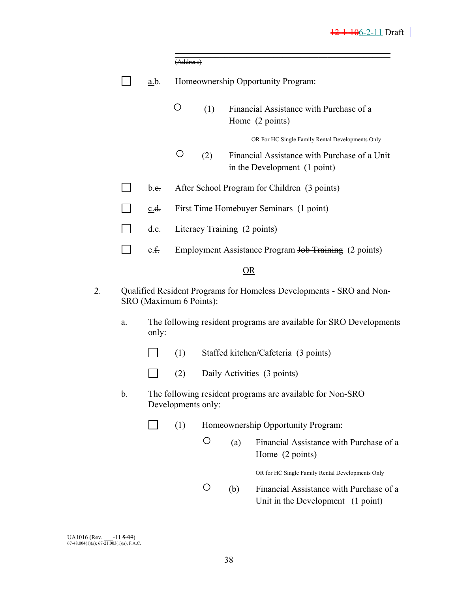|    |               |                                 | (Address)                                                                                       |                              |     |                                                                              |
|----|---------------|---------------------------------|-------------------------------------------------------------------------------------------------|------------------------------|-----|------------------------------------------------------------------------------|
|    |               | a.b.                            |                                                                                                 |                              |     | Homeownership Opportunity Program:                                           |
|    |               |                                 | O                                                                                               | (1)                          |     | Financial Assistance with Purchase of a<br>Home (2 points)                   |
|    |               |                                 |                                                                                                 |                              |     | OR For HC Single Family Rental Developments Only                             |
|    |               |                                 | O                                                                                               | (2)                          |     | Financial Assistance with Purchase of a Unit<br>in the Development (1 point) |
|    |               | $\underline{b}.\underline{e}$ . |                                                                                                 |                              |     | After School Program for Children (3 points)                                 |
|    |               | c.d.                            |                                                                                                 |                              |     | First Time Homebuyer Seminars (1 point)                                      |
|    |               | d.e.                            |                                                                                                 | Literacy Training (2 points) |     |                                                                              |
|    |               | e.f.                            |                                                                                                 |                              |     | Employment Assistance Program Job Training (2 points)                        |
|    |               |                                 |                                                                                                 |                              |     | OR                                                                           |
| 2. |               |                                 | Qualified Resident Programs for Homeless Developments - SRO and Non-<br>SRO (Maximum 6 Points): |                              |     |                                                                              |
|    | a.            | only:                           |                                                                                                 |                              |     | The following resident programs are available for SRO Developments           |
|    |               |                                 | (1)                                                                                             |                              |     | Staffed kitchen/Cafeteria (3 points)                                         |
|    |               |                                 | (2)                                                                                             |                              |     | Daily Activities (3 points)                                                  |
|    | $\mathbf b$ . |                                 | Developments only:                                                                              |                              |     | The following resident programs are available for Non-SRO                    |
|    |               |                                 | (1)                                                                                             |                              |     | Homeownership Opportunity Program:                                           |
|    |               |                                 |                                                                                                 | O                            | (a) | Financial Assistance with Purchase of a<br>Home (2 points)                   |
|    |               |                                 |                                                                                                 |                              |     | OR for HC Single Family Rental Developments Only                             |
|    |               |                                 |                                                                                                 | Ő                            | (b) | Financial Assistance with Purchase of a<br>Unit in the Development (1 point) |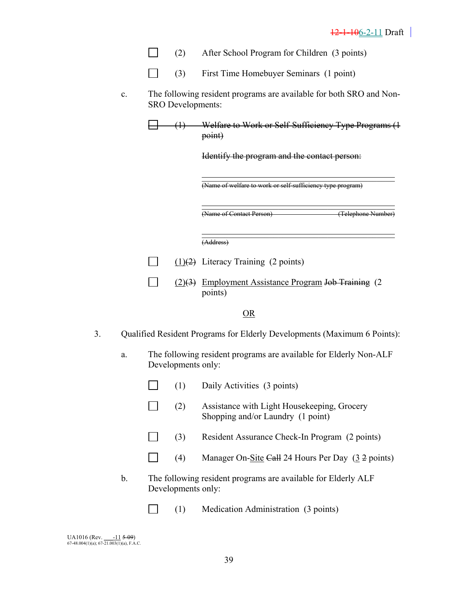- (2) After School Program for Children (3 points)
- $\Box$ (3) First Time Homebuyer Seminars (1 point)
- c. The following resident programs are available for both SRO and Non-SRO Developments:

(1) Welfare to Work or Self-Sufficiency Type Programs (1 point)

Identify the program and the contact person:

(Name of welfare to work or self-sufficiency type program)

 $\frac{1}{\sqrt{2}}$  ,  $\frac{1}{\sqrt{2}}$  ,  $\frac{1}{\sqrt{2}}$  ,  $\frac{1}{\sqrt{2}}$  ,  $\frac{1}{\sqrt{2}}$  ,  $\frac{1}{\sqrt{2}}$  ,  $\frac{1}{\sqrt{2}}$  ,  $\frac{1}{\sqrt{2}}$  ,  $\frac{1}{\sqrt{2}}$  ,  $\frac{1}{\sqrt{2}}$  ,  $\frac{1}{\sqrt{2}}$  ,  $\frac{1}{\sqrt{2}}$  ,  $\frac{1}{\sqrt{2}}$  ,  $\frac{1}{\sqrt{2}}$  ,  $\frac{1}{\sqrt{2}}$ (Name of Contact Person) (Telephone Number)

 $\overline{\phantom{a}}$  , and the contract of the contract of the contract of the contract of the contract of the contract of the contract of the contract of the contract of the contract of the contract of the contract of the contrac (Address)

> $\mathcal{L}^{\text{max}}$  $(1)(2)$  Literacy Training (2 points)

 $\mathcal{L}_\mathcal{L} = \mathcal{L}_\mathcal{L} = \mathcal{L}_\mathcal{L} = \mathcal{L}_\mathcal{L} = \mathcal{L}_\mathcal{L} = \mathcal{L}_\mathcal{L} = \mathcal{L}_\mathcal{L} = \mathcal{L}_\mathcal{L} = \mathcal{L}_\mathcal{L} = \mathcal{L}_\mathcal{L} = \mathcal{L}_\mathcal{L} = \mathcal{L}_\mathcal{L} = \mathcal{L}_\mathcal{L} = \mathcal{L}_\mathcal{L} = \mathcal{L}_\mathcal{L} = \mathcal{L}_\mathcal{L} = \mathcal{L}_\mathcal{L}$ 

 $\Box$  $(2)(3)$  Employment Assistance Program Job Training (2) points)

#### OR

- 3. Qualified Resident Programs for Elderly Developments (Maximum 6 Points):
	- a. The following resident programs are available for Elderly Non-ALF Developments only:
		- $\Box$  (1) Daily Activities (3 points)
		- (2) Assistance with Light Housekeeping, Grocery Shopping and/or Laundry (1 point)
		- (3) Resident Assurance Check-In Program (2 points)
		- (4) Manager On-Site Call 24 Hours Per Day (3 2 points)
	- b. The following resident programs are available for Elderly ALF Developments only:
		- $\Box$  (1) Medication Administration (3 points)

| UA1016 (Rev.                                   | $-11509$ |
|------------------------------------------------|----------|
| $67-48.004(1)(a)$ ; $67-21.003(1)(a)$ , F.A.C. |          |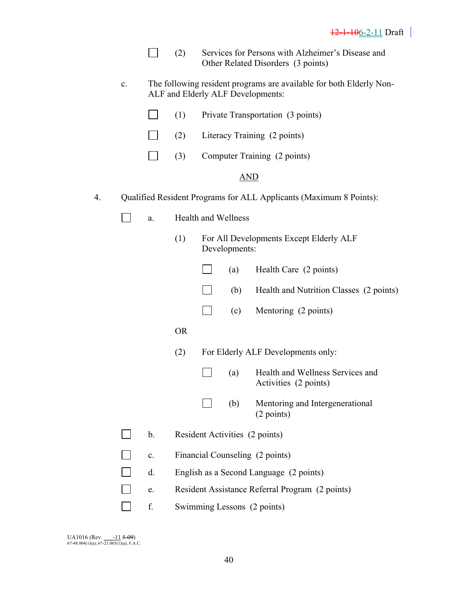|  | Services for Persons with Alzheimer's Disease and |
|--|---------------------------------------------------|
|  | Other Related Disorders (3 points)                |

c. The following resident programs are available for both Elderly Non-ALF and Elderly ALF Developments:

| $\Box$<br>Private Transportation (3 points)<br>(1) |
|----------------------------------------------------|
|----------------------------------------------------|

- $\Box$ (2) Literacy Training (2 points)
- $\Box$  (3) Computer Training (2 points)

#### AND

- 4. Qualified Resident Programs for ALL Applicants (Maximum 8 Points):
	- $\Box$  a. Health and Wellness
		- (1) For All Developments Except Elderly ALF Developments:
			- $(a)$  Health Care (2 points)
			- $\Box$  (b) Health and Nutrition Classes (2 points)
			- $\Box$  (c) Mentoring (2 points)
- OR
	- (2) For Elderly ALF Developments only:
		- (a) Health and Wellness Services and Activities (2 points)
		- (b) Mentoring and Intergenerational (2 points)
	- $\Box$  b. Resident Activities (2 points)
	- $\mathbf{L}$ c. Financial Counseling (2 points)
	- $\mathbf{I}$ d. English as a Second Language (2 points)
		- e. Resident Assistance Referral Program (2 points)
	- **here f**. Swimming Lessons (2 points)

| <b>UA1016</b> (Rev.                            | $-11509$ |
|------------------------------------------------|----------|
| $67-48.004(1)(a)$ ; $67-21.003(1)(a)$ , F.A.C. |          |

 $\Box$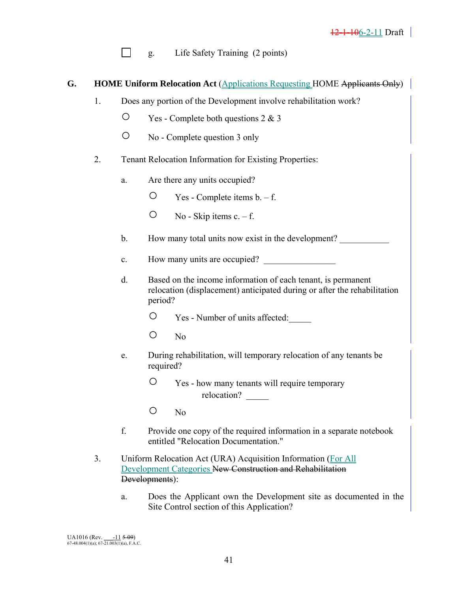$\Box$  g. Life Safety Training (2 points)

### **G.** HOME Uniform Relocation Act (Applications Requesting HOME Applicants Only)

- 1. Does any portion of the Development involve rehabilitation work?
	- Yes Complete both questions 2 & 3
	- No Complete question 3 only
- 2. Tenant Relocation Information for Existing Properties:
	- a. Are there any units occupied?
		- $\circ$  Yes Complete items b. f.
		- $\circ$  No Skip items c. f.
	- b. How many total units now exist in the development?
	- c. How many units are occupied?
	- d. Based on the income information of each tenant, is permanent relocation (displacement) anticipated during or after the rehabilitation period?
		- Yes Number of units affected:\_\_\_\_\_
		- No
	- e. During rehabilitation, will temporary relocation of any tenants be required?
		- Yes how many tenants will require temporary relocation?
		- No
	- f. Provide one copy of the required information in a separate notebook entitled "Relocation Documentation."
- 3. Uniform Relocation Act (URA) Acquisition Information (For All Development Categories New Construction and Rehabilitation Developments):
	- a. Does the Applicant own the Development site as documented in the Site Control section of this Application?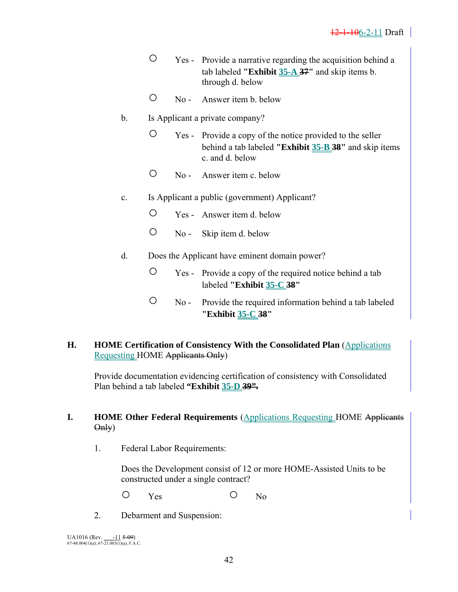- Yes Provide a narrative regarding the acquisition behind a tab labeled **"Exhibit 35-A 37"** and skip items b. through d. below
- No Answer item b. below
- b. Is Applicant a private company?
	- Yes Provide a copy of the notice provided to the seller behind a tab labeled **"Exhibit 35-B 38"** and skip items c. and d. below
	- No Answer item c. below
- c. Is Applicant a public (government) Applicant?
	- Yes Answer item d. below
	- No Skip item d. below
- d. Does the Applicant have eminent domain power?
	- Yes Provide a copy of the required notice behind a tab labeled **"Exhibit 35-C 38"**
	- No Provide the required information behind a tab labeled **"Exhibit 35-C 38"**
- **H. HOME Certification of Consistency With the Consolidated Plan (Applications** Requesting HOME Applicants Only)

Provide documentation evidencing certification of consistency with Consolidated Plan behind a tab labeled **"Exhibit 35-D 39".**

### **I. HOME Other Federal Requirements (Applications Requesting HOME Applicants** Only)

1. Federal Labor Requirements:

Does the Development consist of 12 or more HOME-Assisted Units to be constructed under a single contract?

O Yes O No

2. Debarment and Suspension: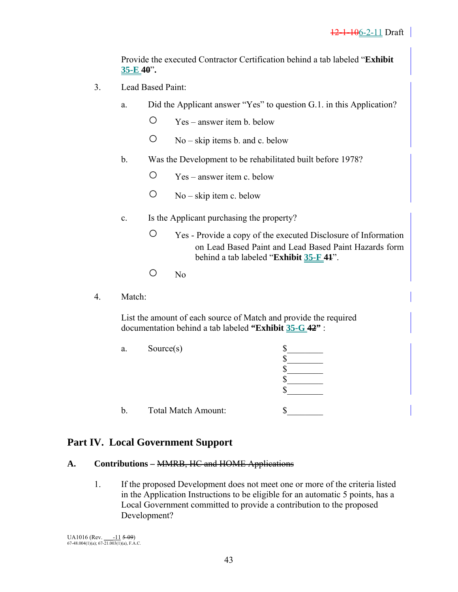Provide the executed Contractor Certification behind a tab labeled "**Exhibit 35-E 40**"**.** 

- 3. Lead Based Paint:
	- a. Did the Applicant answer "Yes" to question G.1. in this Application?
		- Yes answer item b. below
		- $\circ$  No skip items b. and c. below
	- b. Was the Development to be rehabilitated built before 1978?
		- Yes answer item c. below
		- $\circ$  No skip item c. below
	- c. Is the Applicant purchasing the property?
		- Yes Provide a copy of the executed Disclosure of Information on Lead Based Paint and Lead Based Paint Hazards form behind a tab labeled "**Exhibit 35-F 41**".
		- $O$  No
- 4. Match:

 List the amount of each source of Match and provide the required documentation behind a tab labeled **"Exhibit 35-G 42"** :

| a. | Source(s)                  |  |
|----|----------------------------|--|
| D. | <b>Total Match Amount:</b> |  |

# **Part IV. Local Government Support**

### **A. Contributions –** MMRB, HC and HOME Applications

 1. If the proposed Development does not meet one or more of the criteria listed in the Application Instructions to be eligible for an automatic 5 points, has a Local Government committed to provide a contribution to the proposed Development?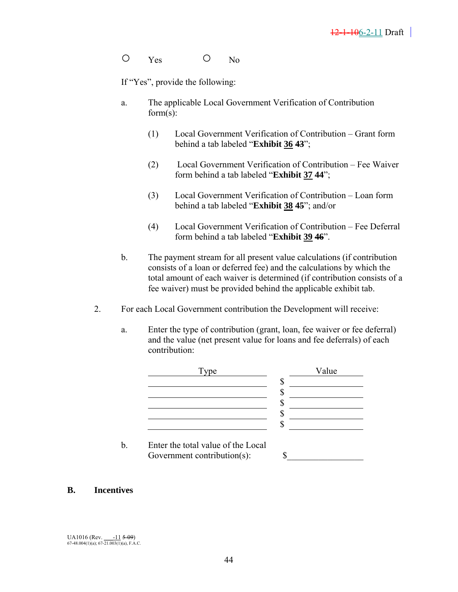O Yes O No

If "Yes", provide the following:

- a. The applicable Local Government Verification of Contribution form(s):
	- (1) Local Government Verification of Contribution Grant form behind a tab labeled "**Exhibit 36 43**";
	- (2) Local Government Verification of Contribution Fee Waiver form behind a tab labeled "**Exhibit 37 44**";
	- (3) Local Government Verification of Contribution Loan form behind a tab labeled "**Exhibit 38 45**"; and/or
	- (4) Local Government Verification of Contribution Fee Deferral form behind a tab labeled "**Exhibit 39 46**".
- b. The payment stream for all present value calculations (if contribution consists of a loan or deferred fee) and the calculations by which the total amount of each waiver is determined (if contribution consists of a fee waiver) must be provided behind the applicable exhibit tab.
- 2. For each Local Government contribution the Development will receive:
	- a. Enter the type of contribution (grant, loan, fee waiver or fee deferral) and the value (net present value for loans and fee deferrals) of each contribution:



#### **B. Incentives**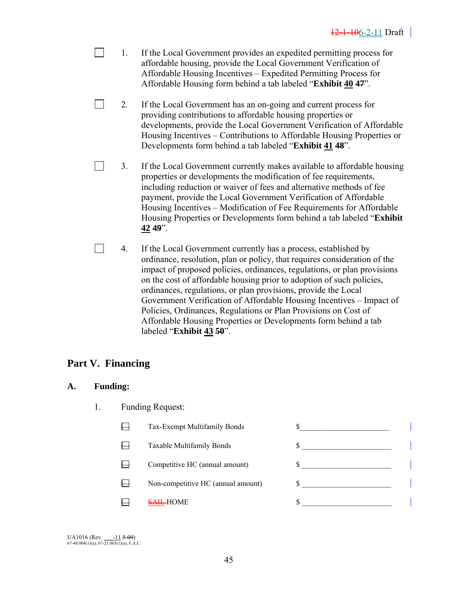- 1. If the Local Government provides an expedited permitting process for affordable housing, provide the Local Government Verification of Affordable Housing Incentives – Expedited Permitting Process for Affordable Housing form behind a tab labeled "**Exhibit 40 47**".
- 2. If the Local Government has an on-going and current process for providing contributions to affordable housing properties or developments, provide the Local Government Verification of Affordable Housing Incentives – Contributions to Affordable Housing Properties or Developments form behind a tab labeled "**Exhibit 41 48**".
- $\mathbf{L}$ 3. If the Local Government currently makes available to affordable housing properties or developments the modification of fee requirements, including reduction or waiver of fees and alternative methods of fee payment, provide the Local Government Verification of Affordable Housing Incentives – Modification of Fee Requirements for Affordable Housing Properties or Developments form behind a tab labeled "**Exhibit 42 49**".
- $\sim 10$ 4. If the Local Government currently has a process, established by ordinance, resolution, plan or policy, that requires consideration of the impact of proposed policies, ordinances, regulations, or plan provisions on the cost of affordable housing prior to adoption of such policies, ordinances, regulations, or plan provisions, provide the Local Government Verification of Affordable Housing Incentives – Impact of Policies, Ordinances, Regulations or Plan Provisions on Cost of Affordable Housing Properties or Developments form behind a tab labeled "**Exhibit 43 50**".

# **Part V. Financing**

### **A. Funding:**

 $\Box$ 

- 1. Funding Request:
	- $\Box$  Tax-Exempt Multifamily Bonds  $\mathcal{S}_\Box$  $\Box$ Taxable Multifamily Bonds  $\qquad \qquad$  \$  $\Box$ Competitive HC (annual amount)  $\qquad$  \$ 目 Non-competitive HC (annual amount) \$ 目  $\frac{\text{SAH}}{\text{SAH}}$ -HOME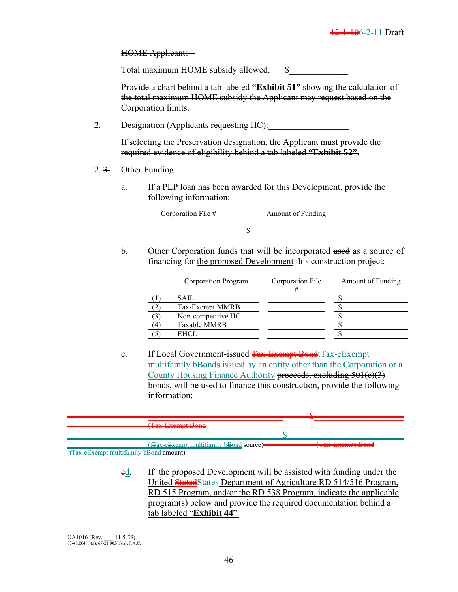HOME Applicants –

Total maximum HOME subsidy allowed: \$\_\_\_\_\_\_\_\_\_\_\_\_\_

 Provide a chart behind a tab labeled **"Exhibit 51"** showing the calculation of the total maximum HOME subsidy the Applicant may request based on the Corporation limits.

2. Designation (Applicants requesting HC):

 If selecting the Preservation designation, the Applicant must provide the required evidence of eligibility behind a tab labeled **"Exhibit 52"**.

- 2. 3. Other Funding:
	- a. If a PLP loan has been awarded for this Development, provide the following information:

Corporation File # Amount of Funding

\$

b. Other Corporation funds that will be incorporated used as a source of financing for the proposed Development this construction project:

|                | Corporation Program | Corporation File | Amount of Funding |
|----------------|---------------------|------------------|-------------------|
|                | SAIL                |                  |                   |
|                | Tax-Exempt MMRB     |                  |                   |
|                | Non-competitive HC  |                  |                   |
| $\overline{4}$ | Taxable MMRB        |                  |                   |
|                | EHCL.               |                  |                   |

c. If Local Government-issued Tax-Exempt Bondt Tax-eExempt multifamily bBonds issued by an entity other than the Corporation or a County Housing Finance Authority proceeds, excluding 501(c)(3) bonds, will be used to finance this construction, provide the following information:

| Toy Exampt Dand                                       |                             |
|-------------------------------------------------------|-----------------------------|
| <b>TUA LAVING DOIN</b>                                |                             |
|                                                       |                             |
|                                                       |                             |
| (t <sub>Tax-e</sub> Exempt multifamily bBond source)- | $(T_{\alpha v}$ Evampt Road |
|                                                       | TWA EAVILIPE DOIN           |
| $(t\text{Tax-eExempt multifamily bBond amount})$      |                             |

 $ed.$  If the proposed Development will be assisted with funding under the United StatedStates Department of Agriculture RD 514/516 Program, RD 515 Program, and/or the RD 538 Program, indicate the applicable program(s) below and provide the required documentation behind a tab labeled "**Exhibit 44**".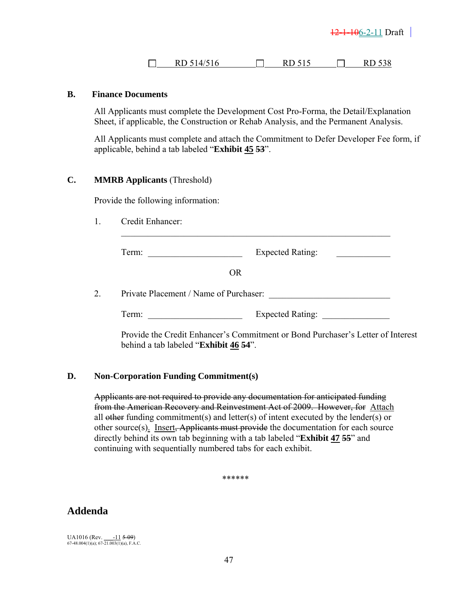|  | RD 514/516 |  | $\sqrt{2}$ |  | 15 I J<br>⊥⊾ |
|--|------------|--|------------|--|--------------|
|--|------------|--|------------|--|--------------|

### **B. Finance Documents**

All Applicants must complete the Development Cost Pro-Forma, the Detail/Explanation Sheet, if applicable, the Construction or Rehab Analysis, and the Permanent Analysis.

All Applicants must complete and attach the Commitment to Defer Developer Fee form, if applicable, behind a tab labeled "**Exhibit 45 53**".

#### **C. MMRB Applicants** (Threshold)

Provide the following information:

1. Credit Enhancer:

| erm: | <b>Expected Rating:</b> |  |
|------|-------------------------|--|
|      |                         |  |

OR

 $\mathcal{L}_\text{max} = \frac{1}{2} \sum_{i=1}^{n} \frac{1}{2} \sum_{i=1}^{n} \frac{1}{2} \sum_{i=1}^{n} \frac{1}{2} \sum_{i=1}^{n} \frac{1}{2} \sum_{i=1}^{n} \frac{1}{2} \sum_{i=1}^{n} \frac{1}{2} \sum_{i=1}^{n} \frac{1}{2} \sum_{i=1}^{n} \frac{1}{2} \sum_{i=1}^{n} \frac{1}{2} \sum_{i=1}^{n} \frac{1}{2} \sum_{i=1}^{n} \frac{1}{2} \sum_{i=1}^{n} \frac{1$ 

2. Private Placement / Name of Purchaser:

Term: Expected Rating:

Provide the Credit Enhancer's Commitment or Bond Purchaser's Letter of Interest behind a tab labeled "**Exhibit 46 54**".

#### **D. Non-Corporation Funding Commitment(s)**

Applicants are not required to provide any documentation for anticipated funding from the American Recovery and Reinvestment Act of 2009. However, for Attach all other funding commitment(s) and letter(s) of intent executed by the lender(s) or other source(s). Insert, Applicants must provide the documentation for each source directly behind its own tab beginning with a tab labeled "**Exhibit 47 55**" and continuing with sequentially numbered tabs for each exhibit.

\*\*\*\*\*\*

# **Addenda**